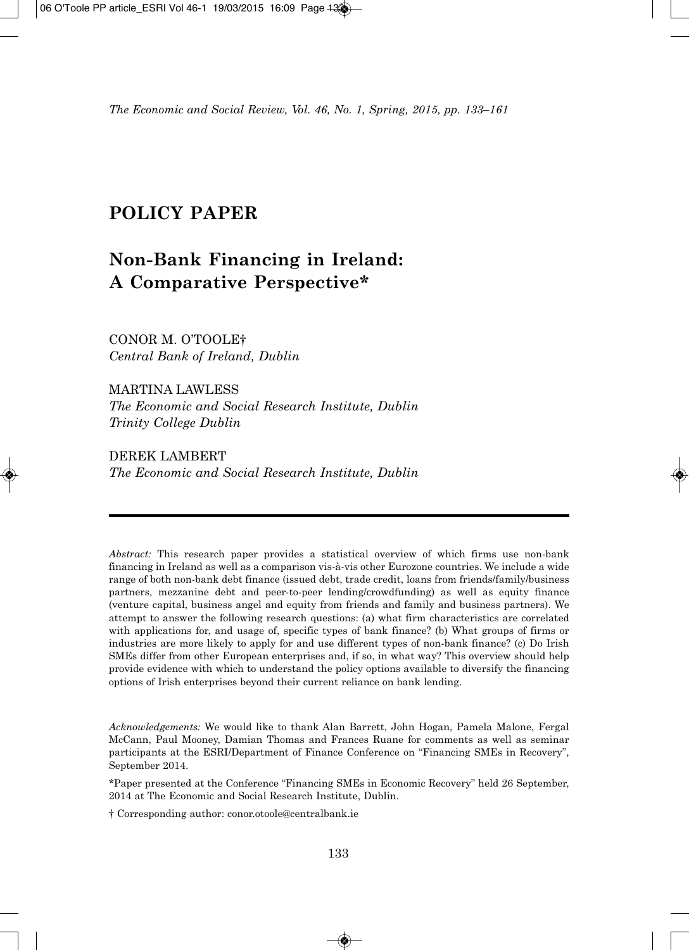*The Economic and Social Review, Vol. 46, No. 1, Spring, 2015, pp. 133–161*

# **POLICY PAPER**

# **Non-Bank Financing in Ireland: A Comparative Perspective\***

CONOR M. O'TOOLE† *Central Bank of Ireland, Dublin*

MARTINA LAWLESS *The Economic and Social Research Institute, Dublin Trinity College Dublin*

DEREK LAMBERT *The Economic and Social Research Institute, Dublin*

*Abstract:* This research paper provides a statistical overview of which firms use non-bank financing in Ireland as well as a comparison vis-à-vis other Eurozone countries. We include a wide range of both non-bank debt finance (issued debt, trade credit, loans from friends/family/business partners, mezzanine debt and peer-to-peer lending/crowdfunding) as well as equity finance (venture capital, business angel and equity from friends and family and business partners). We attempt to answer the following research questions: (a) what firm characteristics are correlated with applications for, and usage of, specific types of bank finance? (b) What groups of firms or industries are more likely to apply for and use different types of non-bank finance? (c) Do Irish SMEs differ from other European enterprises and, if so, in what way? This overview should help provide evidence with which to understand the policy options available to diversify the financing options of Irish enterprises beyond their current reliance on bank lending.

*Acknowledgements:* We would like to thank Alan Barrett, John Hogan, Pamela Malone, Fergal McCann, Paul Mooney, Damian Thomas and Frances Ruane for comments as well as seminar participants at the ESRI/Department of Finance Conference on "Financing SMEs in Recovery", September 2014.

\*Paper presented at the Conference "Financing SMEs in Economic Recovery" held 26 September, 2014 at The Economic and Social Research Institute, Dublin.

† Corresponding author: conor.otoole@centralbank.ie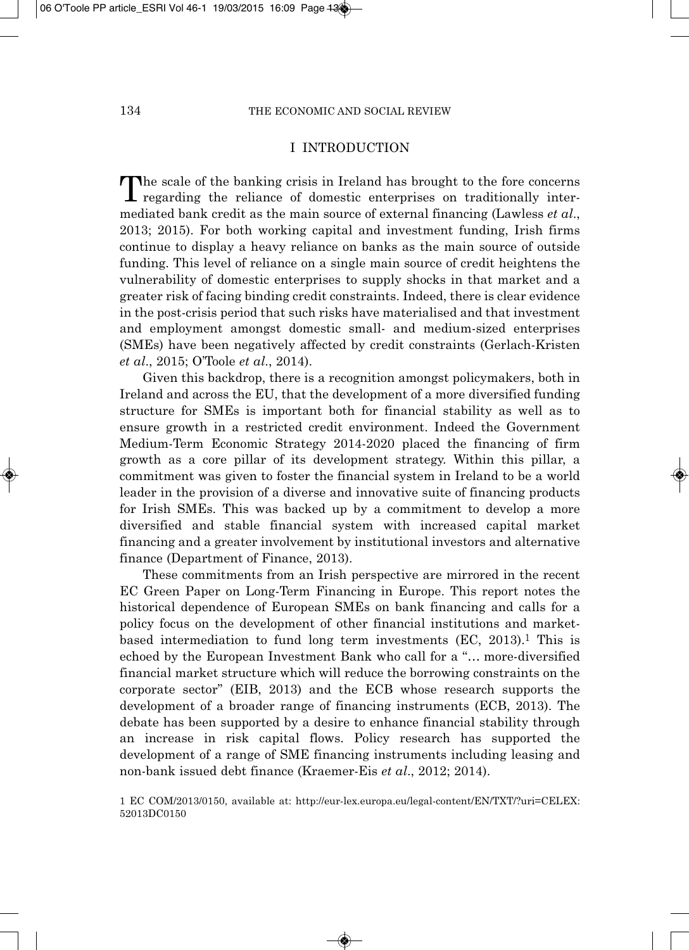# I INTRODUCTION

The scale of the banking crisis in Ireland has brought to the fore concerns  $\mathsf{L}$  regarding the reliance of domestic enterprises on traditionally intermediated bank credit as the main source of external financing (Lawless *et al*., 2013; 2015). For both working capital and investment funding, Irish firms continue to display a heavy reliance on banks as the main source of outside funding. This level of reliance on a single main source of credit heightens the vulnerability of domestic enterprises to supply shocks in that market and a greater risk of facing binding credit constraints. Indeed, there is clear evidence in the post-crisis period that such risks have materialised and that investment and employment amongst domestic small- and medium-sized enterprises (SMEs) have been negatively affected by credit constraints (Gerlach-Kristen *et al*., 2015; O'Toole *et al*., 2014).

Given this backdrop, there is a recognition amongst policymakers, both in Ireland and across the EU, that the development of a more diversified funding structure for SMEs is important both for financial stability as well as to ensure growth in a restricted credit environment. Indeed the Government Medium-Term Economic Strategy 2014-2020 placed the financing of firm growth as a core pillar of its development strategy. Within this pillar, a commitment was given to foster the financial system in Ireland to be a world leader in the provision of a diverse and innovative suite of financing products for Irish SMEs. This was backed up by a commitment to develop a more diversified and stable financial system with increased capital market financing and a greater involvement by institutional investors and alternative finance (Department of Finance, 2013).

These commitments from an Irish perspective are mirrored in the recent EC Green Paper on Long-Term Financing in Europe. This report notes the historical dependence of European SMEs on bank financing and calls for a policy focus on the development of other financial institutions and marketbased intermediation to fund long term investments  $(EC, 2013).$ <sup>1</sup> This is echoed by the European Investment Bank who call for a "… more-diversified financial market structure which will reduce the borrowing constraints on the corporate sector" (EIB, 2013) and the ECB whose research supports the development of a broader range of financing instruments (ECB, 2013). The debate has been supported by a desire to enhance financial stability through an increase in risk capital flows. Policy research has supported the development of a range of SME financing instruments including leasing and non-bank issued debt finance (Kraemer-Eis *et al*., 2012; 2014).

1 EC COM/2013/0150, available at: http://eur-lex.europa.eu/legal-content/EN/TXT/?uri=CELEX: 52013DC0150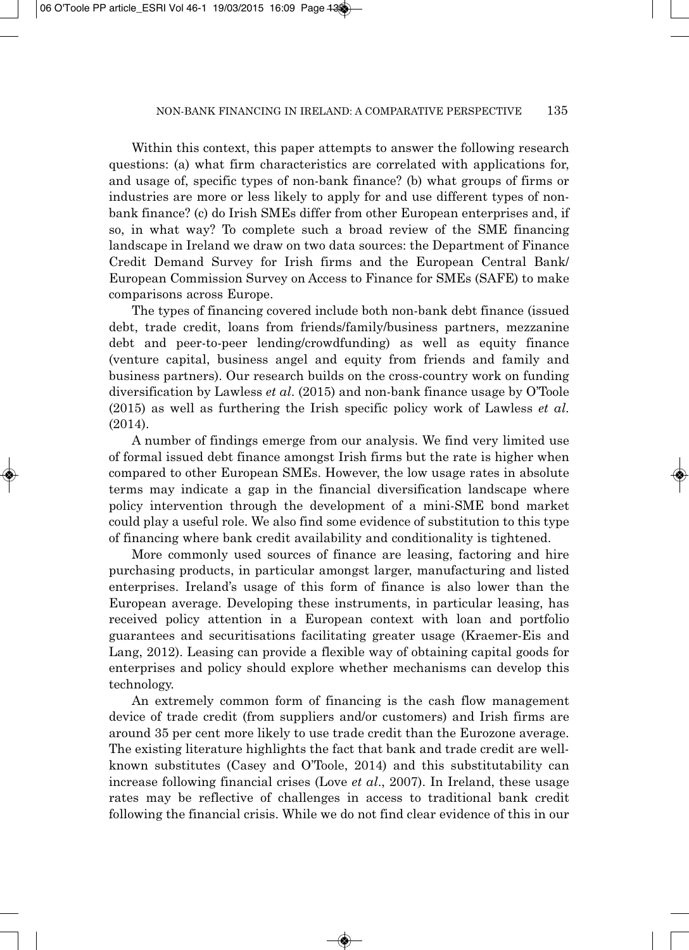Within this context, this paper attempts to answer the following research questions: (a) what firm characteristics are correlated with applications for, and usage of, specific types of non-bank finance? (b) what groups of firms or industries are more or less likely to apply for and use different types of nonbank finance? (c) do Irish SMEs differ from other European enterprises and, if so, in what way? To complete such a broad review of the SME financing landscape in Ireland we draw on two data sources: the Department of Finance Credit Demand Survey for Irish firms and the European Central Bank/ European Commission Survey on Access to Finance for SMEs (SAFE) to make comparisons across Europe.

The types of financing covered include both non-bank debt finance (issued debt, trade credit, loans from friends/family/business partners, mezzanine debt and peer-to-peer lending/crowdfunding) as well as equity finance (venture capital, business angel and equity from friends and family and business partners). Our research builds on the cross-country work on funding diversification by Lawless *et al*. (2015) and non-bank finance usage by O'Toole (2015) as well as furthering the Irish specific policy work of Lawless *et al*. (2014).

A number of findings emerge from our analysis. We find very limited use of formal issued debt finance amongst Irish firms but the rate is higher when compared to other European SMEs. However, the low usage rates in absolute terms may indicate a gap in the financial diversification landscape where policy intervention through the development of a mini-SME bond market could play a useful role. We also find some evidence of substitution to this type of financing where bank credit availability and conditionality is tightened.

More commonly used sources of finance are leasing, factoring and hire purchasing products, in particular amongst larger, manufacturing and listed enterprises. Ireland's usage of this form of finance is also lower than the European average. Developing these instruments, in particular leasing, has received policy attention in a European context with loan and portfolio guarantees and securitisations facilitating greater usage (Kraemer-Eis and Lang, 2012). Leasing can provide a flexible way of obtaining capital goods for enterprises and policy should explore whether mechanisms can develop this technology.

An extremely common form of financing is the cash flow management device of trade credit (from suppliers and/or customers) and Irish firms are around 35 per cent more likely to use trade credit than the Eurozone average. The existing literature highlights the fact that bank and trade credit are wellknown substitutes (Casey and O'Toole, 2014) and this substitutability can increase following financial crises (Love *et al*., 2007). In Ireland, these usage rates may be reflective of challenges in access to traditional bank credit following the financial crisis. While we do not find clear evidence of this in our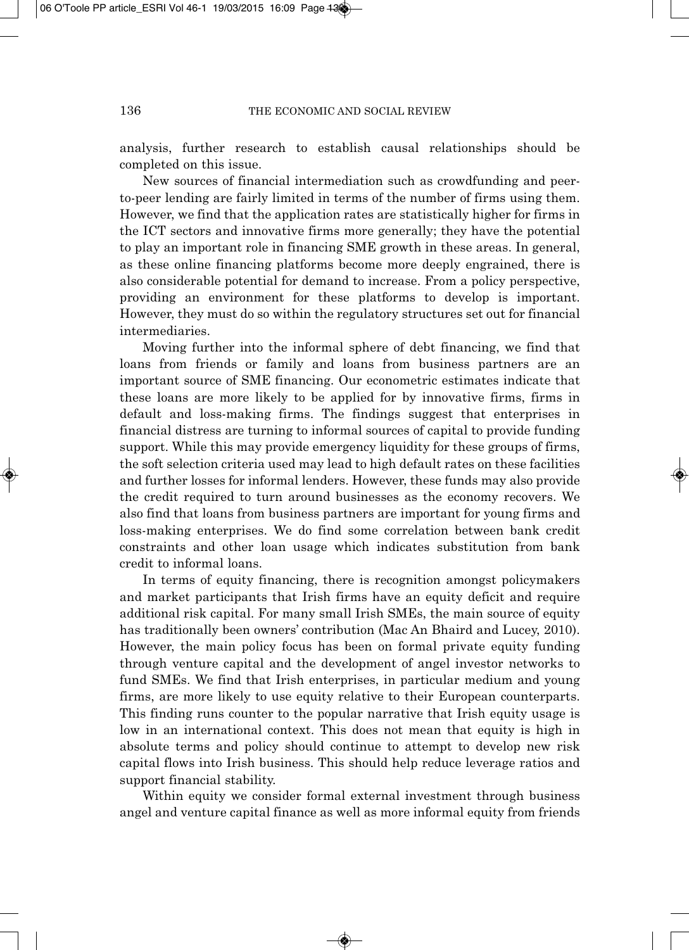analysis, further research to establish causal relationships should be completed on this issue.

New sources of financial intermediation such as crowdfunding and peerto-peer lending are fairly limited in terms of the number of firms using them. However, we find that the application rates are statistically higher for firms in the ICT sectors and innovative firms more generally; they have the potential to play an important role in financing SME growth in these areas. In general, as these online financing platforms become more deeply engrained, there is also considerable potential for demand to increase. From a policy perspective, providing an environment for these platforms to develop is important. However, they must do so within the regulatory structures set out for financial intermediaries.

Moving further into the informal sphere of debt financing, we find that loans from friends or family and loans from business partners are an important source of SME financing. Our econometric estimates indicate that these loans are more likely to be applied for by innovative firms, firms in default and loss-making firms. The findings suggest that enterprises in financial distress are turning to informal sources of capital to provide funding support. While this may provide emergency liquidity for these groups of firms, the soft selection criteria used may lead to high default rates on these facilities and further losses for informal lenders. However, these funds may also provide the credit required to turn around businesses as the economy recovers. We also find that loans from business partners are important for young firms and loss-making enterprises. We do find some correlation between bank credit constraints and other loan usage which indicates substitution from bank credit to informal loans.

In terms of equity financing, there is recognition amongst policymakers and market participants that Irish firms have an equity deficit and require additional risk capital. For many small Irish SMEs, the main source of equity has traditionally been owners' contribution (Mac An Bhaird and Lucey, 2010). However, the main policy focus has been on formal private equity funding through venture capital and the development of angel investor networks to fund SMEs. We find that Irish enterprises, in particular medium and young firms, are more likely to use equity relative to their European counterparts. This finding runs counter to the popular narrative that Irish equity usage is low in an international context. This does not mean that equity is high in absolute terms and policy should continue to attempt to develop new risk capital flows into Irish business. This should help reduce leverage ratios and support financial stability.

Within equity we consider formal external investment through business angel and venture capital finance as well as more informal equity from friends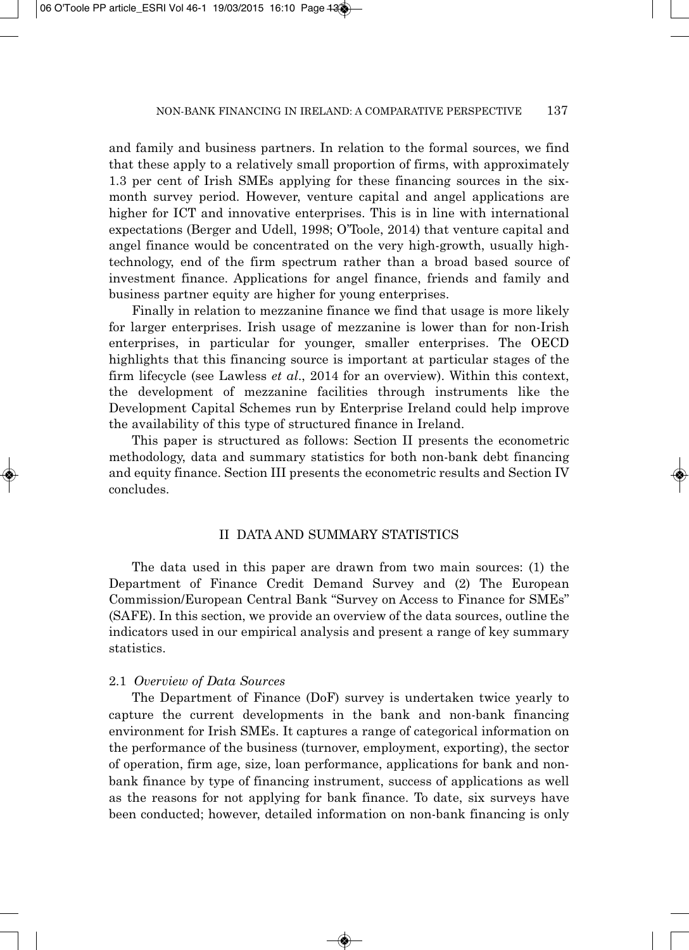and family and business partners. In relation to the formal sources, we find that these apply to a relatively small proportion of firms, with approximately 1.3 per cent of Irish SMEs applying for these financing sources in the sixmonth survey period. However, venture capital and angel applications are higher for ICT and innovative enterprises. This is in line with international expectations (Berger and Udell, 1998; O'Toole, 2014) that venture capital and angel finance would be concentrated on the very high-growth, usually hightechnology, end of the firm spectrum rather than a broad based source of investment finance. Applications for angel finance, friends and family and business partner equity are higher for young enterprises.

Finally in relation to mezzanine finance we find that usage is more likely for larger enterprises. Irish usage of mezzanine is lower than for non-Irish enterprises, in particular for younger, smaller enterprises. The OECD highlights that this financing source is important at particular stages of the firm lifecycle (see Lawless *et al*., 2014 for an overview). Within this context, the development of mezzanine facilities through instruments like the Development Capital Schemes run by Enterprise Ireland could help improve the availability of this type of structured finance in Ireland.

This paper is structured as follows: Section II presents the econometric methodology, data and summary statistics for both non-bank debt financing and equity finance. Section III presents the econometric results and Section IV concludes.

# II DATA AND SUMMARY STATISTICS

The data used in this paper are drawn from two main sources: (1) the Department of Finance Credit Demand Survey and (2) The European Commission/European Central Bank "Survey on Access to Finance for SMEs" (SAFE). In this section, we provide an overview of the data sources, outline the indicators used in our empirical analysis and present a range of key summary statistics.

### 2.1 *Overview of Data Sources*

The Department of Finance (DoF) survey is undertaken twice yearly to capture the current developments in the bank and non-bank financing environment for Irish SMEs. It captures a range of categorical information on the performance of the business (turnover, employment, exporting), the sector of operation, firm age, size, loan performance, applications for bank and nonbank finance by type of financing instrument, success of applications as well as the reasons for not applying for bank finance. To date, six surveys have been conducted; however, detailed information on non-bank financing is only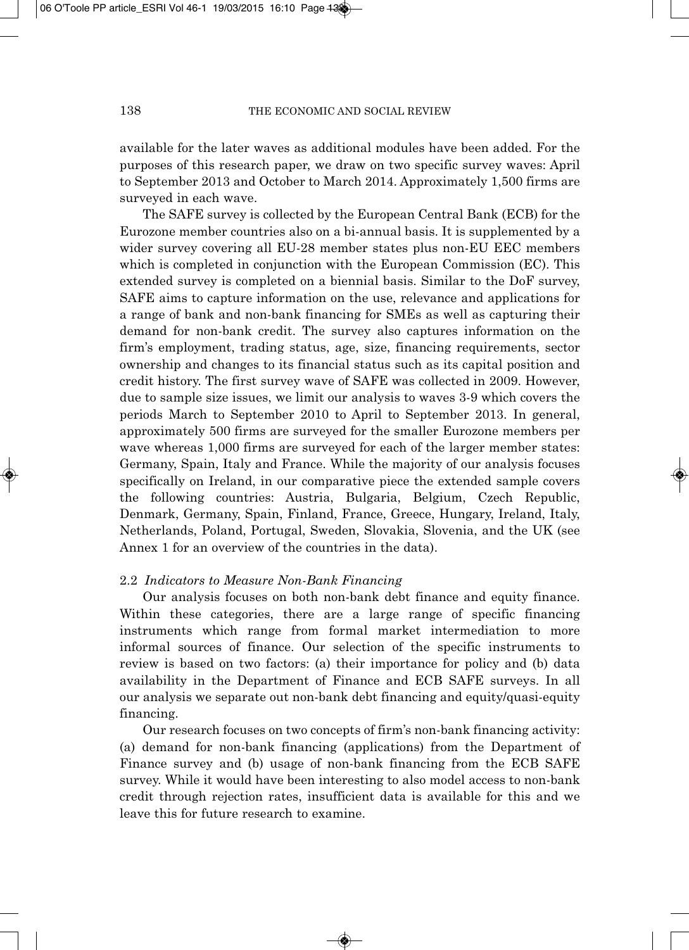available for the later waves as additional modules have been added. For the purposes of this research paper, we draw on two specific survey waves: April to September 2013 and October to March 2014. Approximately 1,500 firms are surveyed in each wave.

The SAFE survey is collected by the European Central Bank (ECB) for the Eurozone member countries also on a bi-annual basis. It is supplemented by a wider survey covering all EU-28 member states plus non-EU EEC members which is completed in conjunction with the European Commission (EC). This extended survey is completed on a biennial basis. Similar to the DoF survey, SAFE aims to capture information on the use, relevance and applications for a range of bank and non-bank financing for SMEs as well as capturing their demand for non-bank credit. The survey also captures information on the firm's employment, trading status, age, size, financing requirements, sector ownership and changes to its financial status such as its capital position and credit history. The first survey wave of SAFE was collected in 2009. However, due to sample size issues, we limit our analysis to waves 3-9 which covers the periods March to September 2010 to April to September 2013. In general, approximately 500 firms are surveyed for the smaller Eurozone members per wave whereas 1,000 firms are surveyed for each of the larger member states: Germany, Spain, Italy and France. While the majority of our analysis focuses specifically on Ireland, in our comparative piece the extended sample covers the following countries: Austria, Bulgaria, Belgium, Czech Republic, Denmark, Germany, Spain, Finland, France, Greece, Hungary, Ireland, Italy, Netherlands, Poland, Portugal, Sweden, Slovakia, Slovenia, and the UK (see Annex 1 for an overview of the countries in the data).

#### 2.2 *Indicators to Measure Non-Bank Financing*

Our analysis focuses on both non-bank debt finance and equity finance. Within these categories, there are a large range of specific financing instruments which range from formal market intermediation to more informal sources of finance. Our selection of the specific instruments to review is based on two factors: (a) their importance for policy and (b) data availability in the Department of Finance and ECB SAFE surveys. In all our analysis we separate out non-bank debt financing and equity/quasi-equity financing.

Our research focuses on two concepts of firm's non-bank financing activity: (a) demand for non-bank financing (applications) from the Department of Finance survey and (b) usage of non-bank financing from the ECB SAFE survey. While it would have been interesting to also model access to non-bank credit through rejection rates, insufficient data is available for this and we leave this for future research to examine.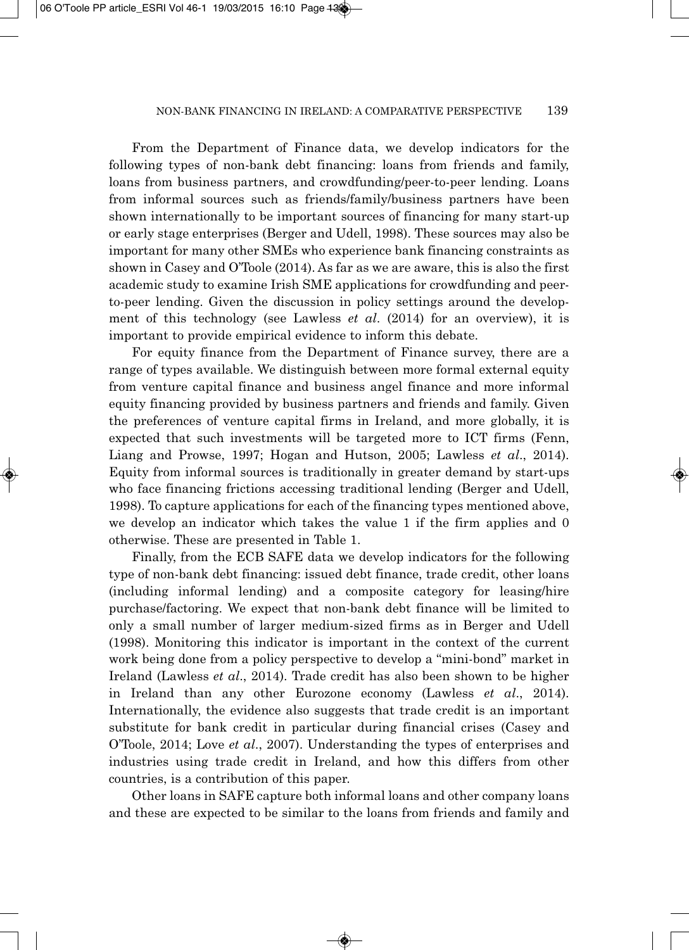From the Department of Finance data, we develop indicators for the following types of non-bank debt financing: loans from friends and family, loans from business partners, and crowdfunding/peer-to-peer lending. Loans from informal sources such as friends/family/business partners have been shown internationally to be important sources of financing for many start-up or early stage enterprises (Berger and Udell, 1998). These sources may also be important for many other SMEs who experience bank financing constraints as shown in Casey and O'Toole (2014). As far as we are aware, this is also the first academic study to examine Irish SME applications for crowdfunding and peerto-peer lending. Given the discussion in policy settings around the develop ment of this technology (see Lawless *et al*. (2014) for an overview), it is important to provide empirical evidence to inform this debate.

For equity finance from the Department of Finance survey, there are a range of types available. We distinguish between more formal external equity from venture capital finance and business angel finance and more informal equity financing provided by business partners and friends and family. Given the preferences of venture capital firms in Ireland, and more globally, it is expected that such investments will be targeted more to ICT firms (Fenn, Liang and Prowse, 1997; Hogan and Hutson, 2005; Lawless *et al*., 2014). Equity from informal sources is traditionally in greater demand by start-ups who face financing frictions accessing traditional lending (Berger and Udell, 1998). To capture applications for each of the financing types mentioned above, we develop an indicator which takes the value 1 if the firm applies and 0 otherwise. These are presented in Table 1.

Finally, from the ECB SAFE data we develop indicators for the following type of non-bank debt financing: issued debt finance, trade credit, other loans (including informal lending) and a composite category for leasing/hire purchase/factoring. We expect that non-bank debt finance will be limited to only a small number of larger medium-sized firms as in Berger and Udell (1998). Monitoring this indicator is important in the context of the current work being done from a policy perspective to develop a "mini-bond" market in Ireland (Lawless *et al*., 2014). Trade credit has also been shown to be higher in Ireland than any other Eurozone economy (Lawless *et al*., 2014). Internationally, the evidence also suggests that trade credit is an important substitute for bank credit in particular during financial crises (Casey and O'Toole, 2014; Love *et al*., 2007). Understanding the types of enterprises and industries using trade credit in Ireland, and how this differs from other countries, is a contribution of this paper.

Other loans in SAFE capture both informal loans and other company loans and these are expected to be similar to the loans from friends and family and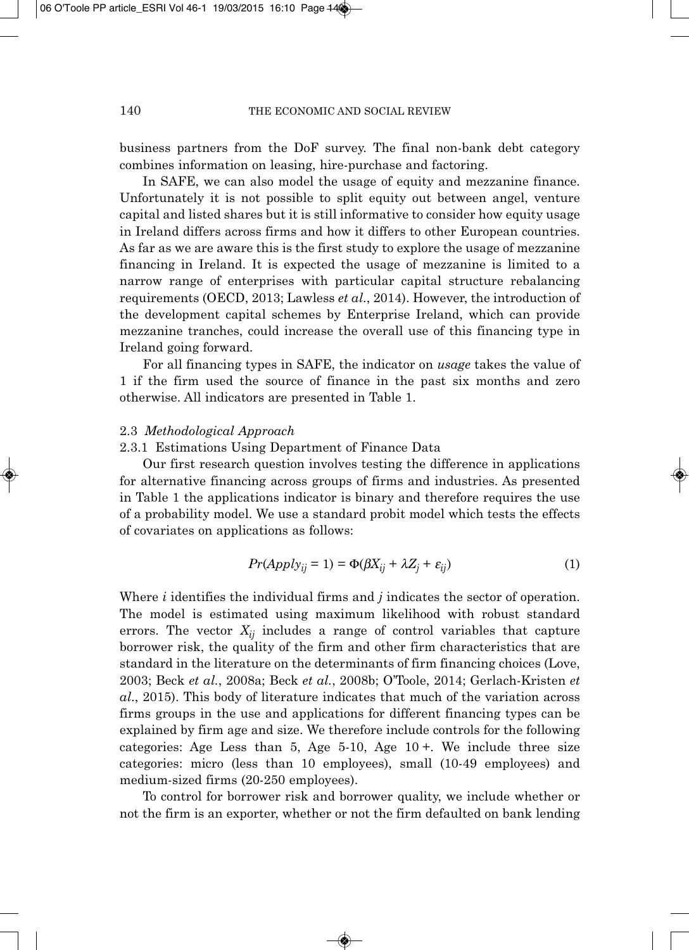business partners from the DoF survey. The final non-bank debt category combines information on leasing, hire-purchase and factoring.

In SAFE, we can also model the usage of equity and mezzanine finance. Unfortunately it is not possible to split equity out between angel, venture capital and listed shares but it is still informative to consider how equity usage in Ireland differs across firms and how it differs to other European countries. As far as we are aware this is the first study to explore the usage of mezzanine financing in Ireland. It is expected the usage of mezzanine is limited to a narrow range of enterprises with particular capital structure rebalancing requirements (OECD, 2013; Lawless *et al*., 2014). However, the introduction of the development capital schemes by Enterprise Ireland, which can provide mezzanine tranches, could increase the overall use of this financing type in Ireland going forward.

For all financing types in SAFE, the indicator on *usage* takes the value of 1 if the firm used the source of finance in the past six months and zero otherwise. All indicators are presented in Table 1.

#### 2.3 *Methodological Approach*

## 2.3.1 Estimations Using Department of Finance Data

Our first research question involves testing the difference in applications for alternative financing across groups of firms and industries. As presented in Table 1 the applications indicator is binary and therefore requires the use of a probability model. We use a standard probit model which tests the effects of covariates on applications as follows:

$$
Pr(Apply_{ij} = 1) = \Phi(\beta X_{ij} + \lambda Z_j + \varepsilon_{ij})
$$
\n(1)

Where *i* identifies the individual firms and *j* indicates the sector of operation. The model is estimated using maximum likelihood with robust standard errors. The vector  $X_{ij}$  includes a range of control variables that capture borrower risk, the quality of the firm and other firm characteristics that are standard in the literature on the determinants of firm financing choices (Love, 2003; Beck *et al.*, 2008a; Beck *et al.*, 2008b; O'Toole, 2014; Gerlach-Kristen *et al*., 2015). This body of literature indicates that much of the variation across firms groups in the use and applications for different financing types can be explained by firm age and size. We therefore include controls for the following categories: Age Less than 5, Age 5-10, Age 10 +. We include three size categories: micro (less than 10 employees), small (10-49 employees) and medium-sized firms (20-250 employees).

To control for borrower risk and borrower quality, we include whether or not the firm is an exporter, whether or not the firm defaulted on bank lending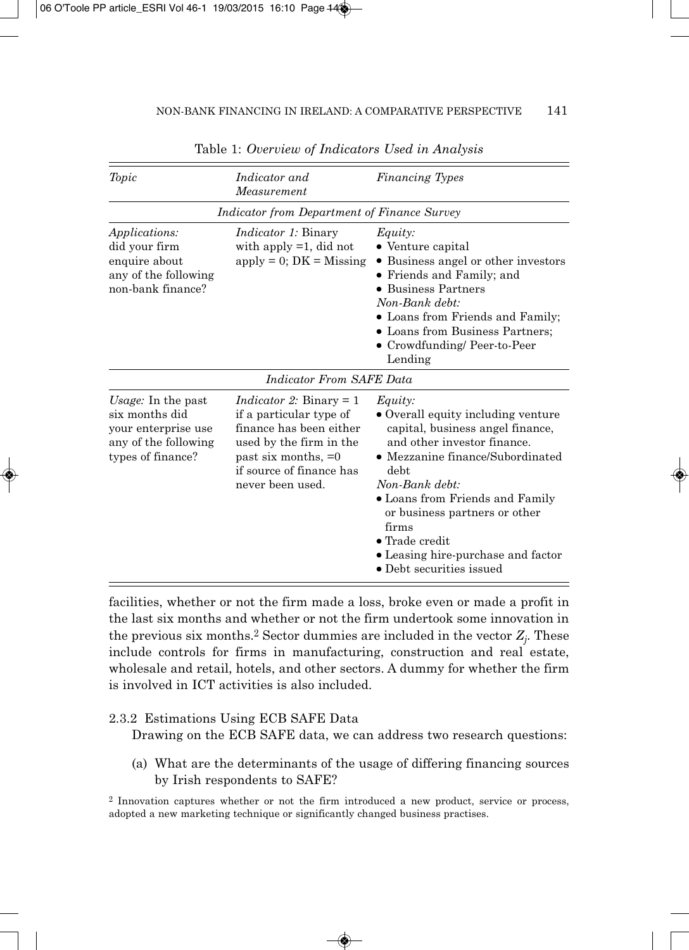| Topic                                                                                                    | Indicator and<br>Measurement                                                                                                                                                               | Financing Types                                                                                                                                                                                                                                                                                                                                                  |
|----------------------------------------------------------------------------------------------------------|--------------------------------------------------------------------------------------------------------------------------------------------------------------------------------------------|------------------------------------------------------------------------------------------------------------------------------------------------------------------------------------------------------------------------------------------------------------------------------------------------------------------------------------------------------------------|
|                                                                                                          | Indicator from Department of Finance Survey                                                                                                                                                |                                                                                                                                                                                                                                                                                                                                                                  |
| <i>Applications:</i><br>did your firm<br>enquire about<br>any of the following<br>non-bank finance?      | <i>Indicator 1:</i> Binary<br>with apply $=1$ , did not<br>$apply = 0; DK = Missing$                                                                                                       | Equity:<br>• Venture capital<br>Business angel or other investors<br>• Friends and Family; and<br><b>Business Partners</b><br>Non-Bank debt:<br>• Loans from Friends and Family;<br>• Loans from Business Partners;<br>• Crowdfunding/ Peer-to-Peer<br>Lending                                                                                                   |
|                                                                                                          | Indicator From SAFE Data                                                                                                                                                                   |                                                                                                                                                                                                                                                                                                                                                                  |
| Usage: In the past<br>six months did<br>your enterprise use<br>any of the following<br>types of finance? | <i>Indicator 2:</i> Binary $= 1$<br>if a particular type of<br>finance has been either<br>used by the firm in the<br>past six months, $=0$<br>if source of finance has<br>never been used. | Equity:<br>• Overall equity including venture<br>capital, business angel finance,<br>and other investor finance.<br>• Mezzanine finance/Subordinated<br>debt.<br>Non-Bank debt:<br>• Loans from Friends and Family<br>or business partners or other<br>firms<br>$\bullet$ Trade credit<br>• Leasing hire-purchase and factor<br>$\bullet$ Debt securities issued |

Table 1: *Overview of Indicators Used in Analysis*

facilities, whether or not the firm made a loss, broke even or made a profit in the last six months and whether or not the firm undertook some innovation in the previous six months.<sup>2</sup> Sector dummies are included in the vector  $Z_i$ . These include controls for firms in manufacturing, construction and real estate, wholesale and retail, hotels, and other sectors. A dummy for whether the firm is involved in ICT activities is also included.

### 2.3.2 Estimations Using ECB SAFE Data

Drawing on the ECB SAFE data, we can address two research questions:

(a) What are the determinants of the usage of differing financing sources by Irish respondents to SAFE?

<sup>2</sup> Innovation captures whether or not the firm introduced a new product, service or process, adopted a new marketing technique or significantly changed business practises.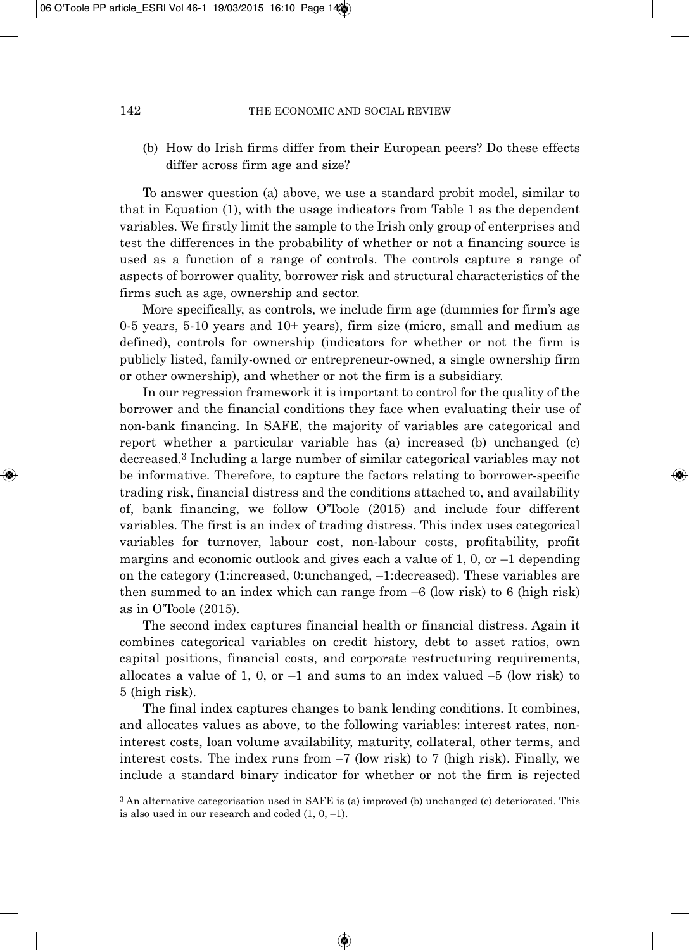(b) How do Irish firms differ from their European peers? Do these effects differ across firm age and size?

To answer question (a) above, we use a standard probit model, similar to that in Equation (1), with the usage indicators from Table 1 as the dependent variables. We firstly limit the sample to the Irish only group of enterprises and test the differences in the probability of whether or not a financing source is used as a function of a range of controls. The controls capture a range of aspects of borrower quality, borrower risk and structural characteristics of the firms such as age, ownership and sector.

More specifically, as controls, we include firm age (dummies for firm's age 0-5 years, 5-10 years and 10+ years), firm size (micro, small and medium as defined), controls for ownership (indicators for whether or not the firm is publicly listed, family-owned or entrepreneur-owned, a single ownership firm or other ownership), and whether or not the firm is a subsidiary.

In our regression framework it is important to control for the quality of the borrower and the financial conditions they face when evaluating their use of non-bank financing. In SAFE, the majority of variables are categorical and report whether a particular variable has (a) increased (b) unchanged (c) decreased.3 Including a large number of similar categorical variables may not be informative. Therefore, to capture the factors relating to borrower-specific trading risk, financial distress and the conditions attached to, and availability of, bank financing, we follow O'Toole (2015) and include four different variables. The first is an index of trading distress. This index uses categorical variables for turnover, labour cost, non-labour costs, profitability, profit margins and economic outlook and gives each a value of  $1, 0, \text{ or } -1$  depending on the category (1:increased, 0:unchanged, –1:decreased). These variables are then summed to an index which can range from  $-6$  (low risk) to 6 (high risk) as in O'Toole (2015).

The second index captures financial health or financial distress. Again it combines categorical variables on credit history, debt to asset ratios, own capital positions, financial costs, and corporate restructuring requirements, allocates a value of 1, 0, or  $-1$  and sums to an index valued  $-5$  (low risk) to 5 (high risk).

The final index captures changes to bank lending conditions. It combines, and allocates values as above, to the following variables: interest rates, noninterest costs, loan volume availability, maturity, collateral, other terms, and interest costs. The index runs from –7 (low risk) to 7 (high risk). Finally, we include a standard binary indicator for whether or not the firm is rejected

<sup>3</sup> An alternative categorisation used in SAFE is (a) improved (b) unchanged (c) deteriorated. This is also used in our research and coded  $(1, 0, -1)$ .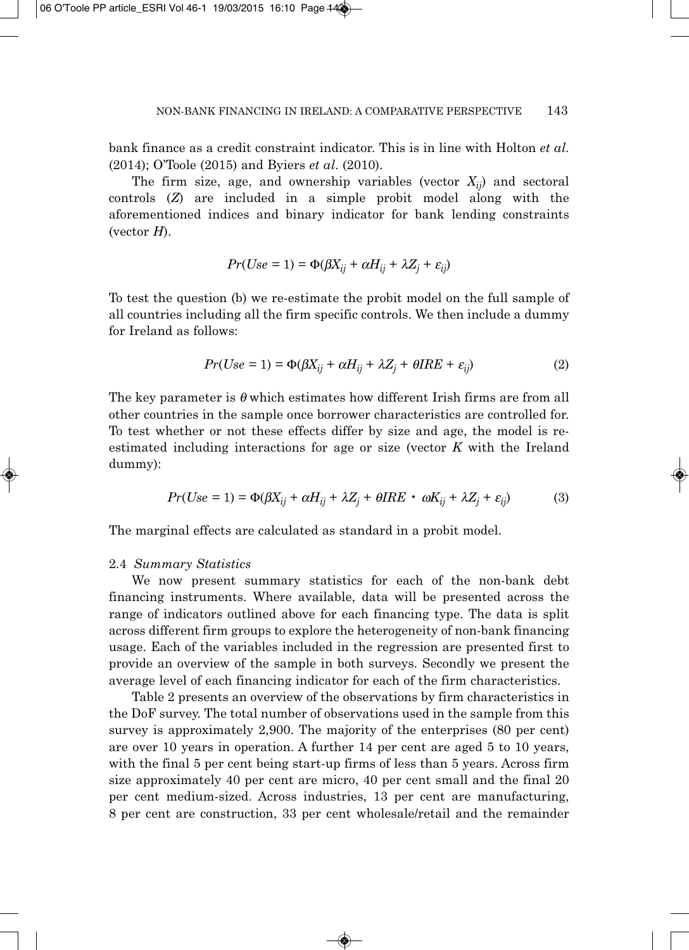bank finance as a credit constraint indicator. This is in line with Holton *et al*. (2014); O'Toole (2015) and Byiers *et al*. (2010).

The firm size, age, and ownership variables (vector  $X_{ii}$ ) and sectoral controls (*Z*) are included in a simple probit model along with the aforementioned indices and binary indicator for bank lending constraints (vector *H*).

$$
Pr(Use = 1) = \Phi(\beta X_{ij} + \alpha H_{ij} + \lambda Z_j + \varepsilon_{ij})
$$

To test the question (b) we re-estimate the probit model on the full sample of all countries including all the firm specific controls. We then include a dummy for Ireland as follows:

$$
Pr(Use = 1) = \Phi(\beta X_{ij} + \alpha H_{ij} + \lambda Z_j + \theta IRE + \varepsilon_{ij})
$$
\n(2)

The key parameter is  $\theta$  which estimates how different Irish firms are from all other countries in the sample once borrower characteristics are controlled for. To test whether or not these effects differ by size and age, the model is reestimated including interactions for age or size (vector *K* with the Ireland dummy):

$$
Pr(Use = 1) = \Phi(\beta X_{ij} + \alpha H_{ij} + \lambda Z_j + \theta IRE \cdot \omega K_{ij} + \lambda Z_j + \varepsilon_{ij})
$$
(3)

The marginal effects are calculated as standard in a probit model.

# 2.4 *Summary Statistics*

We now present summary statistics for each of the non-bank debt financing instruments. Where available, data will be presented across the range of indicators outlined above for each financing type. The data is split across different firm groups to explore the heterogeneity of non-bank financing usage. Each of the variables included in the regression are presented first to provide an overview of the sample in both surveys. Secondly we present the average level of each financing indicator for each of the firm characteristics.

Table 2 presents an overview of the observations by firm characteristics in the DoF survey. The total number of observations used in the sample from this survey is approximately 2,900. The majority of the enterprises (80 per cent) are over 10 years in operation. A further 14 per cent are aged 5 to 10 years, with the final 5 per cent being start-up firms of less than 5 years. Across firm size approximately 40 per cent are micro, 40 per cent small and the final 20 per cent medium-sized. Across industries, 13 per cent are manufacturing, 8 per cent are construction, 33 per cent wholesale/retail and the remainder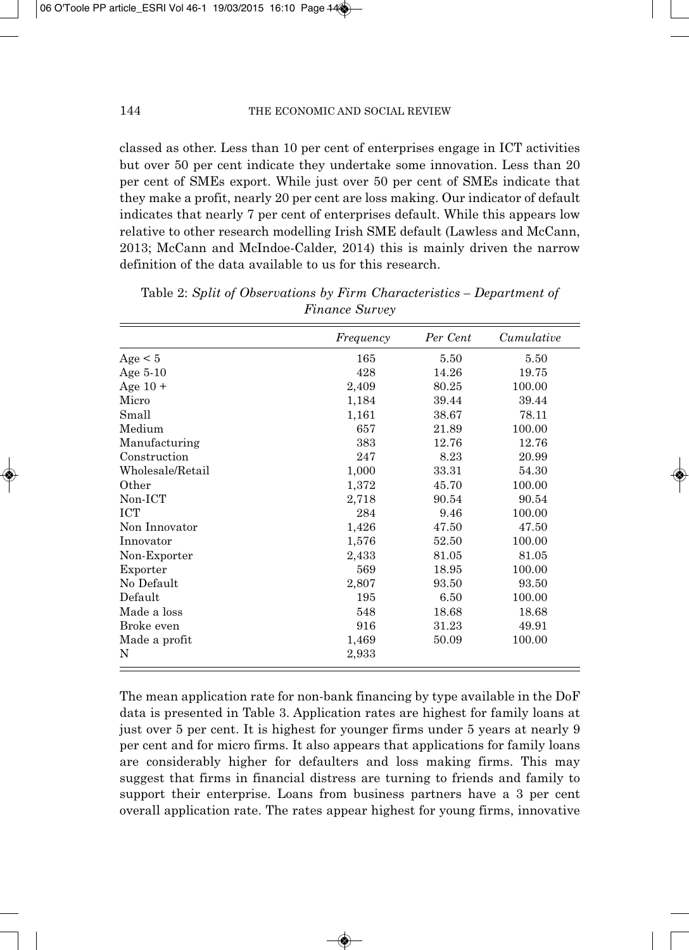classed as other. Less than 10 per cent of enterprises engage in ICT activities but over 50 per cent indicate they undertake some innovation. Less than 20 per cent of SMEs export. While just over 50 per cent of SMEs indicate that they make a profit, nearly 20 per cent are loss making. Our indicator of default indicates that nearly 7 per cent of enterprises default. While this appears low relative to other research modelling Irish SME default (Lawless and McCann, 2013; McCann and McIndoe-Calder, 2014) this is mainly driven the narrow definition of the data available to us for this research.

|                  | Frequency | Per Cent | Cumulative |
|------------------|-----------|----------|------------|
| Age < 5          | 165       | 5.50     | 5.50       |
| Age $5-10$       | 428       | 14.26    | 19.75      |
| Age $10 +$       | 2,409     | 80.25    | 100.00     |
| Micro            | 1,184     | 39.44    | 39.44      |
| Small            | 1,161     | 38.67    | 78.11      |
| Medium           | 657       | 21.89    | 100.00     |
| Manufacturing    | 383       | 12.76    | 12.76      |
| Construction     | 247       | 8.23     | 20.99      |
| Wholesale/Retail | 1,000     | 33.31    | 54.30      |
| Other            | 1,372     | 45.70    | 100.00     |
| Non-ICT          | 2,718     | 90.54    | 90.54      |
| <b>ICT</b>       | 284       | 9.46     | 100.00     |
| Non Innovator    | 1,426     | 47.50    | 47.50      |
| Innovator        | 1,576     | 52.50    | 100.00     |
| Non-Exporter     | 2,433     | 81.05    | 81.05      |
| Exporter         | 569       | 18.95    | 100.00     |
| No Default       | 2,807     | 93.50    | 93.50      |
| Default          | 195       | 6.50     | 100.00     |
| Made a loss      | 548       | 18.68    | 18.68      |
| Broke even       | 916       | 31.23    | 49.91      |
| Made a profit    | 1,469     | 50.09    | 100.00     |
| N                | 2,933     |          |            |

Table 2: *Split of Observations by Firm Characteristics – Department of Finance Survey*

The mean application rate for non-bank financing by type available in the DoF data is presented in Table 3. Application rates are highest for family loans at just over 5 per cent. It is highest for younger firms under 5 years at nearly 9 per cent and for micro firms. It also appears that applications for family loans are considerably higher for defaulters and loss making firms. This may suggest that firms in financial distress are turning to friends and family to support their enterprise. Loans from business partners have a 3 per cent overall application rate. The rates appear highest for young firms, innovative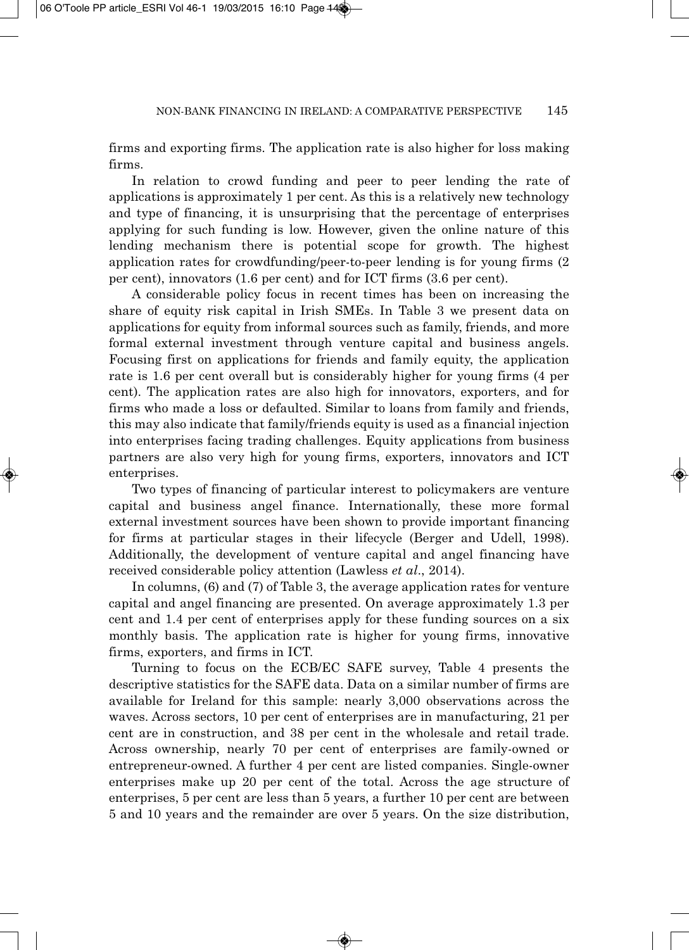firms and exporting firms. The application rate is also higher for loss making firms.

In relation to crowd funding and peer to peer lending the rate of applications is approximately 1 per cent. As this is a relatively new technology and type of financing, it is unsurprising that the percentage of enterprises applying for such funding is low. However, given the online nature of this lending mechanism there is potential scope for growth. The highest application rates for crowdfunding/peer-to-peer lending is for young firms (2 per cent), innovators (1.6 per cent) and for ICT firms (3.6 per cent).

A considerable policy focus in recent times has been on increasing the share of equity risk capital in Irish SMEs. In Table 3 we present data on applications for equity from informal sources such as family, friends, and more formal external investment through venture capital and business angels. Focusing first on applications for friends and family equity, the application rate is 1.6 per cent overall but is considerably higher for young firms (4 per cent). The application rates are also high for innovators, exporters, and for firms who made a loss or defaulted. Similar to loans from family and friends, this may also indicate that family/friends equity is used as a financial injection into enterprises facing trading challenges. Equity applications from business partners are also very high for young firms, exporters, innovators and ICT enterprises.

Two types of financing of particular interest to policymakers are venture capital and business angel finance. Internationally, these more formal external investment sources have been shown to provide important financing for firms at particular stages in their lifecycle (Berger and Udell, 1998). Additionally, the development of venture capital and angel financing have received considerable policy attention (Lawless *et al*., 2014).

In columns, (6) and (7) of Table 3, the average application rates for venture capital and angel financing are presented. On average approximately 1.3 per cent and 1.4 per cent of enterprises apply for these funding sources on a six monthly basis. The application rate is higher for young firms, innovative firms, exporters, and firms in ICT.

Turning to focus on the ECB/EC SAFE survey, Table 4 presents the descriptive statistics for the SAFE data. Data on a similar number of firms are available for Ireland for this sample: nearly 3,000 observations across the waves. Across sectors, 10 per cent of enterprises are in manufacturing, 21 per cent are in construction, and 38 per cent in the wholesale and retail trade. Across ownership, nearly 70 per cent of enterprises are family-owned or entrepreneur-owned. A further 4 per cent are listed companies. Single-owner enterprises make up 20 per cent of the total. Across the age structure of enterprises, 5 per cent are less than 5 years, a further 10 per cent are between 5 and 10 years and the remainder are over 5 years. On the size distribution,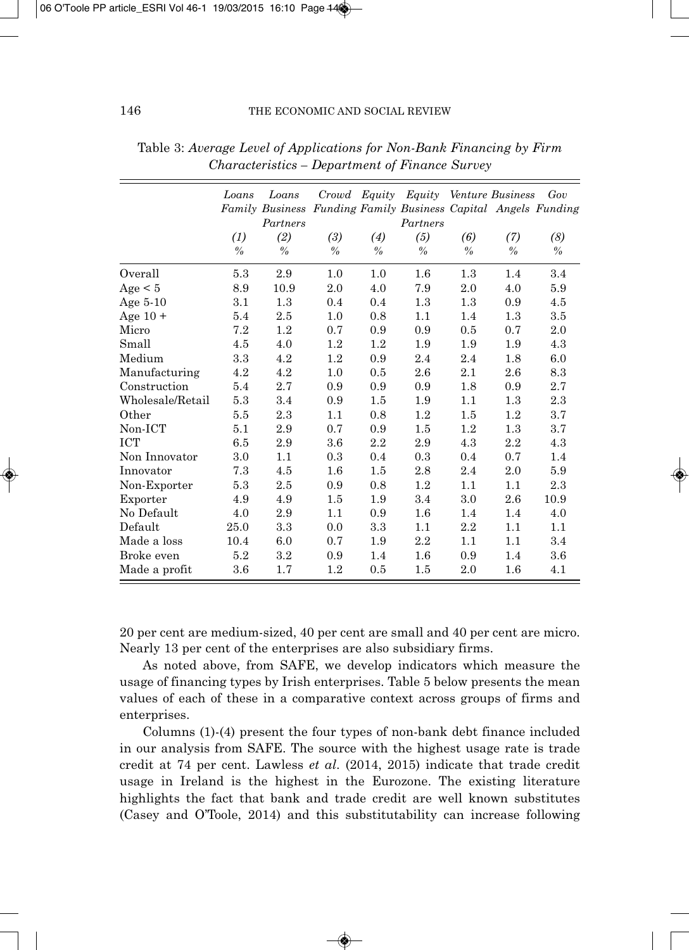|                  | Loans         | Loans<br>Family Business Funding Family Business Capital Angels Funding<br>Partners | Crowd         |               | Equity Equity Venture Business<br>Partners |               |               | Gov           |
|------------------|---------------|-------------------------------------------------------------------------------------|---------------|---------------|--------------------------------------------|---------------|---------------|---------------|
|                  | (1)           | (2)                                                                                 | (3)           | (4)           | (5)                                        | (6)           | (7)           | (8)           |
|                  | $\frac{0}{0}$ | $\frac{0}{0}$                                                                       | $\frac{0}{0}$ | $\frac{0}{0}$ | $\frac{0}{0}$                              | $\frac{0}{0}$ | $\frac{0}{0}$ | $\frac{0}{0}$ |
| Overall          | 5.3           | 2.9                                                                                 | 1.0           | 1.0           | 1.6                                        | 1.3           | 1.4           | 3.4           |
| Age < 5          | 8.9           | 10.9                                                                                | 2.0           | 4.0           | 7.9                                        | 2.0           | 4.0           | 5.9           |
| Age $5-10$       | 3.1           | 1.3                                                                                 | 0.4           | 0.4           | 1.3                                        | 1.3           | 0.9           | 4.5           |
| Age $10 +$       | 5.4           | 2.5                                                                                 | 1.0           | 0.8           | 1.1                                        | 1.4           | 1.3           | 3.5           |
| Micro            | 7.2           | 1.2                                                                                 | 0.7           | 0.9           | 0.9                                        | 0.5           | 0.7           | 2.0           |
| Small            | 4.5           | 4.0                                                                                 | 1.2           | 1.2           | 1.9                                        | 1.9           | 1.9           | 4.3           |
| Medium           | 3.3           | $4.2\,$                                                                             | 1.2           | 0.9           | 2.4                                        | 2.4           | 1.8           | 6.0           |
| Manufacturing    | 4.2           | 4.2                                                                                 | 1.0           | 0.5           | 2.6                                        | 2.1           | 2.6           | 8.3           |
| Construction     | 5.4           | 2.7                                                                                 | 0.9           | 0.9           | 0.9                                        | 1.8           | 0.9           | 2.7           |
| Wholesale/Retail | 5.3           | 3.4                                                                                 | 0.9           | 1.5           | 1.9                                        | 1.1           | 1.3           | 2.3           |
| Other            | 5.5           | 2.3                                                                                 | 1.1           | 0.8           | 1.2                                        | 1.5           | 1.2           | 3.7           |
| Non-ICT          | 5.1           | 2.9                                                                                 | 0.7           | 0.9           | 1.5                                        | 1.2           | $1.3\,$       | 3.7           |
| <b>ICT</b>       | 6.5           | 2.9                                                                                 | 3.6           | 2.2           | 2.9                                        | 4.3           | 2.2           | 4.3           |
| Non Innovator    | 3.0           | 1.1                                                                                 | 0.3           | 0.4           | 0.3                                        | 0.4           | 0.7           | 1.4           |
| Innovator        | 7.3           | 4.5                                                                                 | 1.6           | 1.5           | 2.8                                        | 2.4           | 2.0           | 5.9           |
| Non-Exporter     | 5.3           | 2.5                                                                                 | 0.9           | 0.8           | 1.2                                        | 1.1           | 1.1           | 2.3           |
| Exporter         | 4.9           | 4.9                                                                                 | 1.5           | 1.9           | 3.4                                        | 3.0           | 2.6           | 10.9          |
| No Default       | 4.0           | 2.9                                                                                 | 1.1           | 0.9           | 1.6                                        | 1.4           | 1.4           | 4.0           |
| Default          | 25.0          | 3.3                                                                                 | 0.0           | $\!3.3\!$     | 1.1                                        | 2.2           | 1.1           | 1.1           |
| Made a loss      | 10.4          | 6.0                                                                                 | 0.7           | 1.9           | 2.2                                        | 1.1           | 1.1           | 3.4           |
| Broke even       | 5.2           | 3.2                                                                                 | 0.9           | 1.4           | 1.6                                        | 0.9           | 1.4           | 3.6           |
| Made a profit    | 3.6           | 1.7                                                                                 | 1.2           | 0.5           | $1.5\,$                                    | 2.0           | $1.6\,$       | 4.1           |

Table 3: *Average Level of Applications for Non-Bank Financing by Firm Characteristics – Department of Finance Survey*

20 per cent are medium-sized, 40 per cent are small and 40 per cent are micro. Nearly 13 per cent of the enterprises are also subsidiary firms.

As noted above, from SAFE, we develop indicators which measure the usage of financing types by Irish enterprises. Table 5 below presents the mean values of each of these in a comparative context across groups of firms and enterprises.

Columns (1)-(4) present the four types of non-bank debt finance included in our analysis from SAFE. The source with the highest usage rate is trade credit at 74 per cent. Lawless *et al*. (2014, 2015) indicate that trade credit usage in Ireland is the highest in the Eurozone. The existing literature highlights the fact that bank and trade credit are well known substitutes (Casey and O'Toole, 2014) and this substitutability can increase following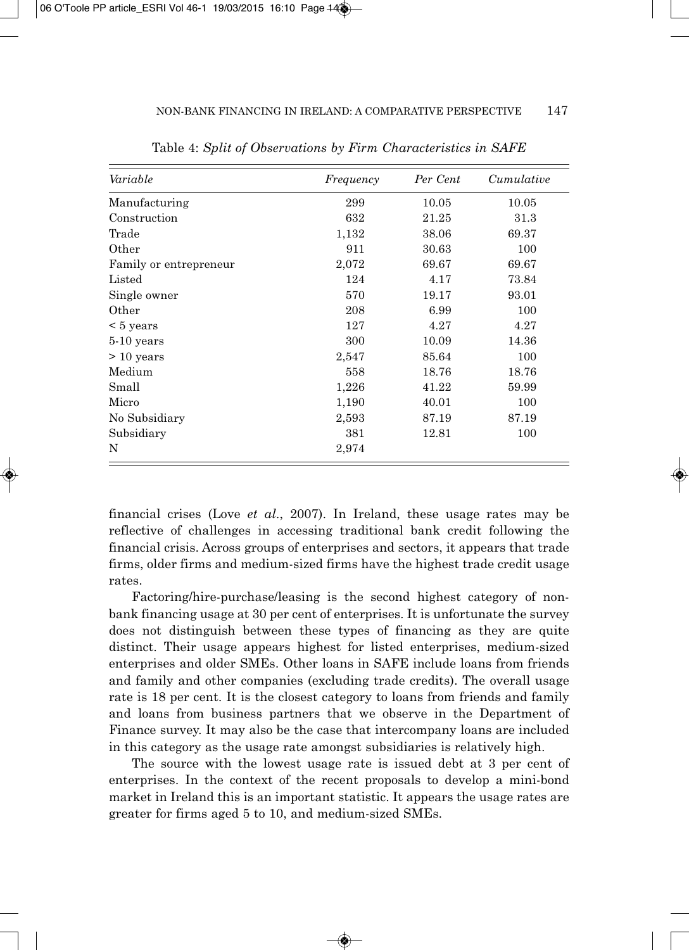| Variable               | Frequency | Per Cent | Cumulative |
|------------------------|-----------|----------|------------|
| Manufacturing          | 299       | 10.05    | 10.05      |
| Construction           | 632       | 21.25    | 31.3       |
| Trade                  | 1,132     | 38.06    | 69.37      |
| Other                  | 911       | 30.63    | 100        |
| Family or entrepreneur | 2,072     | 69.67    | 69.67      |
| Listed                 | 124       | 4.17     | 73.84      |
| Single owner           | 570       | 19.17    | 93.01      |
| Other                  | 208       | 6.99     | 100        |
| $\leq 5$ years         | 127       | 4.27     | 4.27       |
| 5-10 years             | 300       | 10.09    | 14.36      |
| $> 10$ years           | 2,547     | 85.64    | 100        |
| Medium                 | 558       | 18.76    | 18.76      |
| Small                  | 1,226     | 41.22    | 59.99      |
| Micro                  | 1,190     | 40.01    | 100        |
| No Subsidiary          | 2,593     | 87.19    | 87.19      |
| Subsidiary             | 381       | 12.81    | 100        |
| N                      | 2,974     |          |            |

Table 4: *Split of Observations by Firm Characteristics in SAFE*

financial crises (Love *et al*., 2007). In Ireland, these usage rates may be reflective of challenges in accessing traditional bank credit following the financial crisis. Across groups of enterprises and sectors, it appears that trade firms, older firms and medium-sized firms have the highest trade credit usage rates.

Factoring/hire-purchase/leasing is the second highest category of nonbank financing usage at 30 per cent of enterprises. It is unfortunate the survey does not distinguish between these types of financing as they are quite distinct. Their usage appears highest for listed enterprises, medium-sized enterprises and older SMEs. Other loans in SAFE include loans from friends and family and other companies (excluding trade credits). The overall usage rate is 18 per cent. It is the closest category to loans from friends and family and loans from business partners that we observe in the Department of Finance survey. It may also be the case that intercompany loans are included in this category as the usage rate amongst subsidiaries is relatively high.

The source with the lowest usage rate is issued debt at 3 per cent of enterprises. In the context of the recent proposals to develop a mini-bond market in Ireland this is an important statistic. It appears the usage rates are greater for firms aged 5 to 10, and medium-sized SMEs.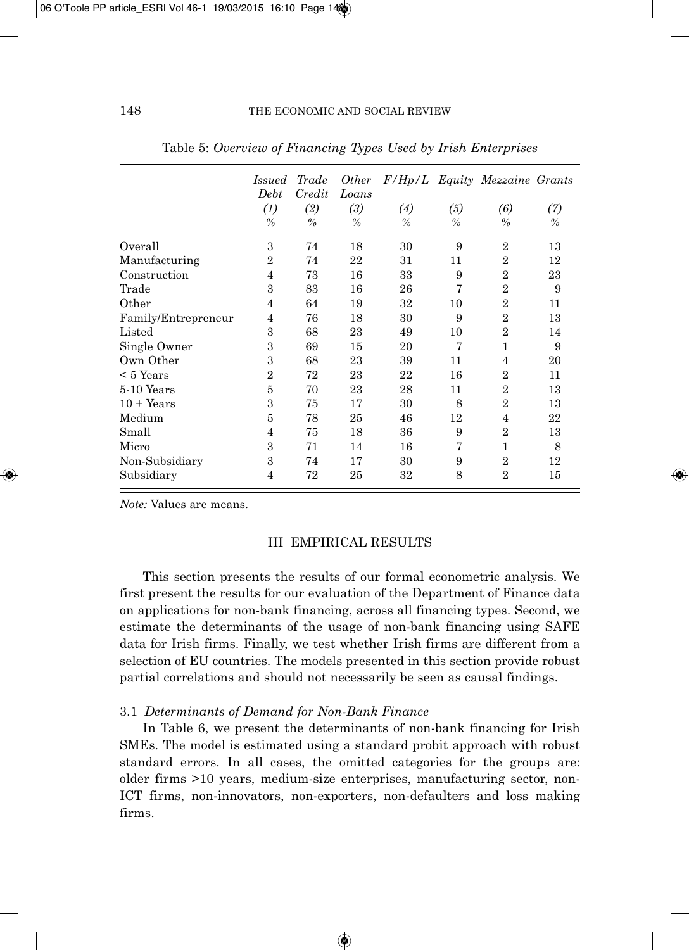|                     | Issued<br>Debt | Trade<br>Credit | <i>Other</i><br>Loans |                   |               | F/Hp/L Equity Mezzaine Grants |               |
|---------------------|----------------|-----------------|-----------------------|-------------------|---------------|-------------------------------|---------------|
|                     | (1)            | (2)             | (3)                   | $\left( 4\right)$ | (5)           | (6)                           | (7)           |
|                     | $\frac{0}{0}$  | $\frac{0}{0}$   | $\frac{0}{0}$         | $\frac{0}{0}$     | $\frac{0}{0}$ | $\frac{0}{0}$                 | $\frac{0}{0}$ |
| Overall             | 3              | 74              | 18                    | 30                | 9             | $\overline{2}$                | 13            |
| Manufacturing       | $\overline{2}$ | 74              | 22                    | 31                | 11            | $\overline{2}$                | 12            |
| Construction        | 4              | 73              | 16                    | 33                | 9             | $\overline{2}$                | 23            |
| Trade               | 3              | 83              | 16                    | 26                | 7             | $\overline{2}$                | 9             |
| Other               | 4              | 64              | 19                    | 32                | 10            | $\overline{2}$                | 11            |
| Family/Entrepreneur | 4              | 76              | 18                    | 30                | 9             | $\overline{2}$                | 13            |
| Listed              | 3              | 68              | 23                    | 49                | 10            | $\overline{2}$                | 14            |
| Single Owner        | 3              | 69              | 15                    | 20                | 7             | 1                             | 9             |
| Own Other           | 3              | 68              | 23                    | 39                | 11            | 4                             | 20            |
| $< 5$ Years         | $\overline{2}$ | 72              | 23                    | 22                | 16            | $\overline{2}$                | 11            |
| 5-10 Years          | 5              | 70              | 23                    | 28                | 11            | $\overline{2}$                | 13            |
| $10 + Years$        | 3              | 75              | 17                    | 30                | 8             | $\overline{2}$                | 13            |
| Medium              | 5              | 78              | 25                    | 46                | 12            | 4                             | 22            |
| Small               | 4              | 75              | 18                    | 36                | 9             | $\overline{2}$                | 13            |
| Micro               | 3              | 71              | 14                    | 16                | 7             | 1                             | 8             |
| Non-Subsidiary      | 3              | 74              | 17                    | 30                | 9             | $\overline{2}$                | 12            |
| Subsidiary          | 4              | 72              | 25                    | 32                | 8             | $\overline{2}$                | 15            |

Table 5: *Overview of Financing Types Used by Irish Enterprises*

*Note:* Values are means.

## III EMPIRICAL RESULTS

This section presents the results of our formal econometric analysis. We first present the results for our evaluation of the Department of Finance data on applications for non-bank financing, across all financing types. Second, we estimate the determinants of the usage of non-bank financing using SAFE data for Irish firms. Finally, we test whether Irish firms are different from a selection of EU countries. The models presented in this section provide robust partial correlations and should not necessarily be seen as causal findings.

## 3.1 *Determinants of Demand for Non-Bank Finance*

In Table 6, we present the determinants of non-bank financing for Irish SMEs. The model is estimated using a standard probit approach with robust standard errors. In all cases, the omitted categories for the groups are: older firms >10 years, medium-size enterprises, manufacturing sector, non-ICT firms, non-innovators, non-exporters, non-defaulters and loss making firms.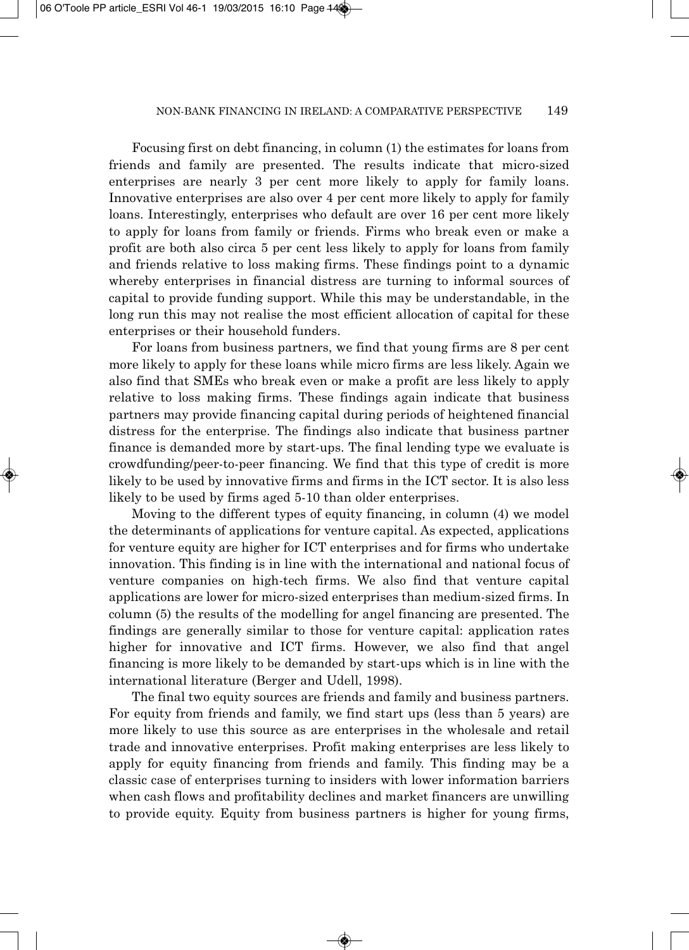Focusing first on debt financing, in column (1) the estimates for loans from friends and family are presented. The results indicate that micro-sized enterprises are nearly 3 per cent more likely to apply for family loans. Innovative enterprises are also over 4 per cent more likely to apply for family loans. Interestingly, enterprises who default are over 16 per cent more likely to apply for loans from family or friends. Firms who break even or make a profit are both also circa 5 per cent less likely to apply for loans from family and friends relative to loss making firms. These findings point to a dynamic whereby enterprises in financial distress are turning to informal sources of capital to provide funding support. While this may be understandable, in the long run this may not realise the most efficient allocation of capital for these enterprises or their household funders.

For loans from business partners, we find that young firms are 8 per cent more likely to apply for these loans while micro firms are less likely. Again we also find that SMEs who break even or make a profit are less likely to apply relative to loss making firms. These findings again indicate that business partners may provide financing capital during periods of heightened financial distress for the enterprise. The findings also indicate that business partner finance is demanded more by start-ups. The final lending type we evaluate is crowdfunding/peer-to-peer financing. We find that this type of credit is more likely to be used by innovative firms and firms in the ICT sector. It is also less likely to be used by firms aged 5-10 than older enterprises.

Moving to the different types of equity financing, in column (4) we model the determinants of applications for venture capital. As expected, applications for venture equity are higher for ICT enterprises and for firms who undertake innovation. This finding is in line with the international and national focus of venture companies on high-tech firms. We also find that venture capital applications are lower for micro-sized enterprises than medium-sized firms. In column (5) the results of the modelling for angel financing are presented. The findings are generally similar to those for venture capital: application rates higher for innovative and ICT firms. However, we also find that angel financing is more likely to be demanded by start-ups which is in line with the international literature (Berger and Udell, 1998).

The final two equity sources are friends and family and business partners. For equity from friends and family, we find start ups (less than 5 years) are more likely to use this source as are enterprises in the wholesale and retail trade and innovative enterprises. Profit making enterprises are less likely to apply for equity financing from friends and family. This finding may be a classic case of enterprises turning to insiders with lower information barriers when cash flows and profitability declines and market financers are unwilling to provide equity. Equity from business partners is higher for young firms,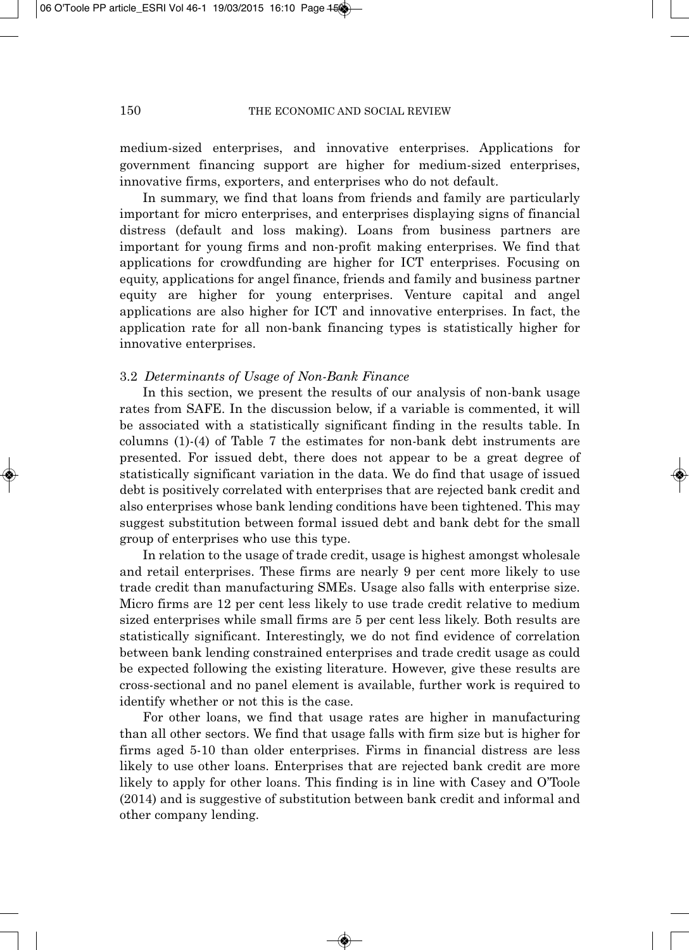medium-sized enterprises, and innovative enterprises. Applications for government financing support are higher for medium-sized enterprises, innovative firms, exporters, and enterprises who do not default.

In summary, we find that loans from friends and family are particularly important for micro enterprises, and enterprises displaying signs of financial distress (default and loss making). Loans from business partners are important for young firms and non-profit making enterprises. We find that applications for crowdfunding are higher for ICT enterprises. Focusing on equity, applications for angel finance, friends and family and business partner equity are higher for young enterprises. Venture capital and angel applications are also higher for ICT and innovative enterprises. In fact, the application rate for all non-bank financing types is statistically higher for innovative enterprises.

#### 3.2 *Determinants of Usage of Non-Bank Finance*

In this section, we present the results of our analysis of non-bank usage rates from SAFE. In the discussion below, if a variable is commented, it will be associated with a statistically significant finding in the results table. In columns (1)-(4) of Table 7 the estimates for non-bank debt instruments are presented. For issued debt, there does not appear to be a great degree of statistically significant variation in the data. We do find that usage of issued debt is positively correlated with enterprises that are rejected bank credit and also enterprises whose bank lending conditions have been tightened. This may suggest substitution between formal issued debt and bank debt for the small group of enterprises who use this type.

In relation to the usage of trade credit, usage is highest amongst wholesale and retail enterprises. These firms are nearly 9 per cent more likely to use trade credit than manufacturing SMEs. Usage also falls with enterprise size. Micro firms are 12 per cent less likely to use trade credit relative to medium sized enterprises while small firms are 5 per cent less likely. Both results are statistically significant. Interestingly, we do not find evidence of correlation between bank lending constrained enterprises and trade credit usage as could be expected following the existing literature. However, give these results are cross-sectional and no panel element is available, further work is required to identify whether or not this is the case.

For other loans, we find that usage rates are higher in manufacturing than all other sectors. We find that usage falls with firm size but is higher for firms aged 5-10 than older enterprises. Firms in financial distress are less likely to use other loans. Enterprises that are rejected bank credit are more likely to apply for other loans. This finding is in line with Casey and O'Toole (2014) and is suggestive of substitution between bank credit and informal and other company lending.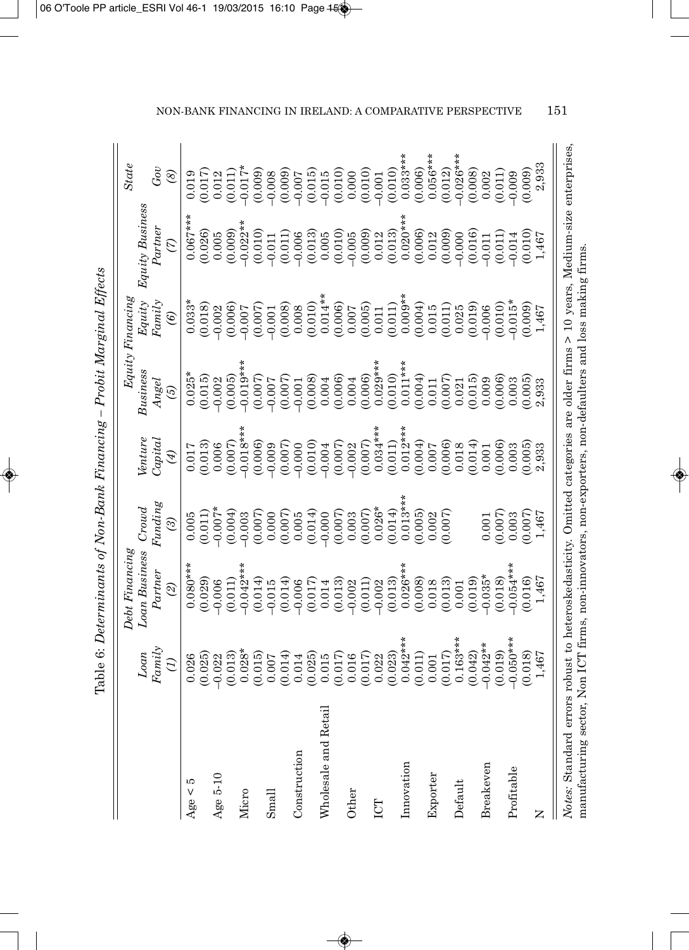| $\tilde{\phantom{a}}$                                |
|------------------------------------------------------|
|                                                      |
| J<br>i                                               |
| I                                                    |
|                                                      |
|                                                      |
| I<br>C<br>医胃炎 医胃炎 医胃炎                                |
| i                                                    |
| I                                                    |
| ļ                                                    |
|                                                      |
|                                                      |
| ſ                                                    |
|                                                      |
| $\overline{a}$<br>l<br>l<br>ĺ<br>$\overline{a}$<br>I |

|                                                                                                                                                                                                                                             |                                                                                         | Debt Financing           |                                                 |                                   |                                                                                    | $Equity\,Financing$                                        |                                                                      | <b>State</b>                                   |
|---------------------------------------------------------------------------------------------------------------------------------------------------------------------------------------------------------------------------------------------|-----------------------------------------------------------------------------------------|--------------------------|-------------------------------------------------|-----------------------------------|------------------------------------------------------------------------------------|------------------------------------------------------------|----------------------------------------------------------------------|------------------------------------------------|
|                                                                                                                                                                                                                                             | Loan<br>Family                                                                          | Loan Business<br>Partner | Funding<br>Crowd                                | $\ell$ ntur $\epsilon$<br>Capitai | Bussness<br>Angel                                                                  | $Fami\gamma$<br>Equity                                     | Equity Business<br>Partner                                           | Gov                                            |
|                                                                                                                                                                                                                                             | $\mathcal{L}$                                                                           | $\mathcal{Q}$            | ල                                               | $\bigcirc$                        | $\widetilde{\omega}$                                                               | $\circledast$                                              | $\mathcal{L}$                                                        | $\circledast$                                  |
| ĩО<br>Age $<$                                                                                                                                                                                                                               | 0.026                                                                                   | $0.080**$                | 0.005                                           | 0.017                             | $0.025*$                                                                           | $0.033*$                                                   | $0.067**$                                                            | 0.019                                          |
|                                                                                                                                                                                                                                             | (0.025)                                                                                 | (0.029)                  | (0.011)                                         | (0.013)                           | (0.015)                                                                            | (0.018)                                                    | (0.026)                                                              | (0.017)                                        |
| Age 5-10                                                                                                                                                                                                                                    | $-0.022$                                                                                | $-0.006$                 | $-0.007*$                                       | 0.006                             | $-0.002$                                                                           | $-0.002$                                                   | 0.005                                                                | 0.012                                          |
|                                                                                                                                                                                                                                             | (0.013)                                                                                 | (0.011)                  | (0.004)                                         | (0.007)                           | (0.005)                                                                            | (0.006)                                                    | (0.009)                                                              | (0.011)                                        |
| Micro                                                                                                                                                                                                                                       | $0.028*$                                                                                | $-0.042*$                | $-0.003$                                        | $-0.018**$                        | $-0.019**$                                                                         | $-0.007$                                                   | $-0.022*$                                                            | $-0.017*$                                      |
| Small                                                                                                                                                                                                                                       | $\begin{array}{c} (0.015)\\ 0.007\\ 0.0014\\ 0.014\\ 0.025\\ 0.015\\ 0.015 \end{array}$ | (0.014)<br>$-0.015$      | (0.007)<br>0.000                                | (0.006)<br>$-0.009$               | $\begin{array}{c} (0.007) \\ (0.007) \\ (0.007) \\ (0.001) \\ (0.008) \end{array}$ | (0.007)<br>$-0.001$                                        | (0.010)<br>$-0.011$                                                  | $(0.009)$<br>$-0.008$<br>$(0.009)$<br>$-0.007$ |
|                                                                                                                                                                                                                                             |                                                                                         | (0.014)                  |                                                 |                                   |                                                                                    |                                                            |                                                                      |                                                |
| Construction                                                                                                                                                                                                                                |                                                                                         | $-0.006$                 | $\begin{array}{c} (0.007) \\ 0.005 \end{array}$ | (0.007)                           |                                                                                    | $\begin{array}{c} (0.008) \\ 0.008 \\ (0.010) \end{array}$ | $(0.011)$<br>$-0.006$                                                |                                                |
|                                                                                                                                                                                                                                             |                                                                                         | (0.017)                  | (0.014)                                         | (0.010)                           |                                                                                    |                                                            |                                                                      | $(0.015)$<br>-0.015                            |
| Wholesale and Retai                                                                                                                                                                                                                         |                                                                                         | 0.014                    | $-0.000$                                        | $-0.004$                          | 0.004                                                                              | $0.014**$                                                  |                                                                      |                                                |
|                                                                                                                                                                                                                                             | (0.017)                                                                                 | (0.013)                  | (0.007)                                         | (0.007)                           | (0.006)                                                                            | (0.006)                                                    | $\begin{array}{c} (0.013) \\ 0.005 \\ (0.010) \\ -0.005 \end{array}$ | (0.010)                                        |
| Other                                                                                                                                                                                                                                       | 0.016                                                                                   | $-0.002$                 | 0.003                                           | $-0.002$                          | 0.004                                                                              | 0.007                                                      |                                                                      | 0.000                                          |
|                                                                                                                                                                                                                                             | (0.017)                                                                                 | (0.011)                  | (0.007)                                         | (0.007)                           | (0.006)                                                                            | (0.005)                                                    | (0.009)                                                              | (0.010)                                        |
| ICT                                                                                                                                                                                                                                         | 0.022                                                                                   | $-0.002$                 | $0.026*$                                        | $0.034***$                        | $0.029**$                                                                          | 0.011                                                      | 0.012                                                                | $-0.001$                                       |
|                                                                                                                                                                                                                                             | (0.023)                                                                                 | (0.013)                  | (0.014)                                         | (0.011)                           | (0.010)                                                                            | (0.011)                                                    | (0.013)                                                              | (0.010)                                        |
| Innovation                                                                                                                                                                                                                                  | $0.042**$                                                                               | $0.026**$                | $0.013**$                                       | $0.012***$                        | $0.011***$                                                                         | $0.009**$                                                  | $0.020**$                                                            | $0.033***$                                     |
|                                                                                                                                                                                                                                             | (0.011)                                                                                 | (0.008)                  | (0.005)                                         | (0.004)                           | (0.004)                                                                            | (0.004)                                                    | (0.006)                                                              | (0.006)                                        |
| Exporter                                                                                                                                                                                                                                    | 0.001                                                                                   | 0.018                    | 0.002                                           | 0.007                             | $\begin{array}{c} 0.011 \\ (0.007) \end{array}$                                    | 0.015                                                      | $\frac{0.012}{(0.009)}$                                              | $0.056***$                                     |
|                                                                                                                                                                                                                                             | (0.017)                                                                                 | (0.013)                  | (0.007)                                         | (0.006)                           |                                                                                    | $\begin{array}{c} (0.011) \\ 0.025 \end{array}$            |                                                                      | (0.012)                                        |
| Default                                                                                                                                                                                                                                     | $0.163***$                                                                              | $0.001\,$                |                                                 | 0.018                             | 0.021                                                                              |                                                            | $-0.000$                                                             | $-0.026***$                                    |
|                                                                                                                                                                                                                                             | (0.042)                                                                                 | (0.019)                  |                                                 | (0.014)                           | (0.015)                                                                            | (0.019)                                                    | (0.016)                                                              | (0.008)                                        |
| Breakeven                                                                                                                                                                                                                                   | $-0.042**$                                                                              | $-0.035*$                | 0.001                                           | 0.001                             | 0.009                                                                              | $-0.006$                                                   | $-0.011$                                                             | 0.002                                          |
|                                                                                                                                                                                                                                             | (0.019)                                                                                 | (0.018)                  | (0.007)                                         | (0.006)                           | (0.006)                                                                            | (0.010)                                                    | (0.011)                                                              | (0.011)                                        |
| Profitable                                                                                                                                                                                                                                  | $-0.050***$                                                                             | $-0.054***$              | 0.003                                           | 0.003                             | 0.003                                                                              | $-0.015*$                                                  | $-0.014$                                                             | $-0.009$                                       |
|                                                                                                                                                                                                                                             | (0.018)                                                                                 | (0.016)                  | (0.007)                                         | (0.005)                           | (0.005)                                                                            | (0.009)                                                    | (0.010)                                                              | (0.009)                                        |
| Z                                                                                                                                                                                                                                           | 1,467                                                                                   | 1,467                    | 1,467                                           | 2,933                             | 2,933                                                                              | 1,467                                                      | 1,467                                                                | 2,933                                          |
| Notes: Standard errors robust to heteroskedasticity. Omitted categories are older firms $> 10$ years, Medium-size enterprises,<br>manufacturing sector, Non ICT firms, non-innovators, non-exporters, non-defaulters and loss making firms. |                                                                                         |                          |                                                 |                                   |                                                                                    |                                                            |                                                                      |                                                |

NON-BANK FINANCING IN IRELAND: A COMPARATIVE PERSPECTIVE 151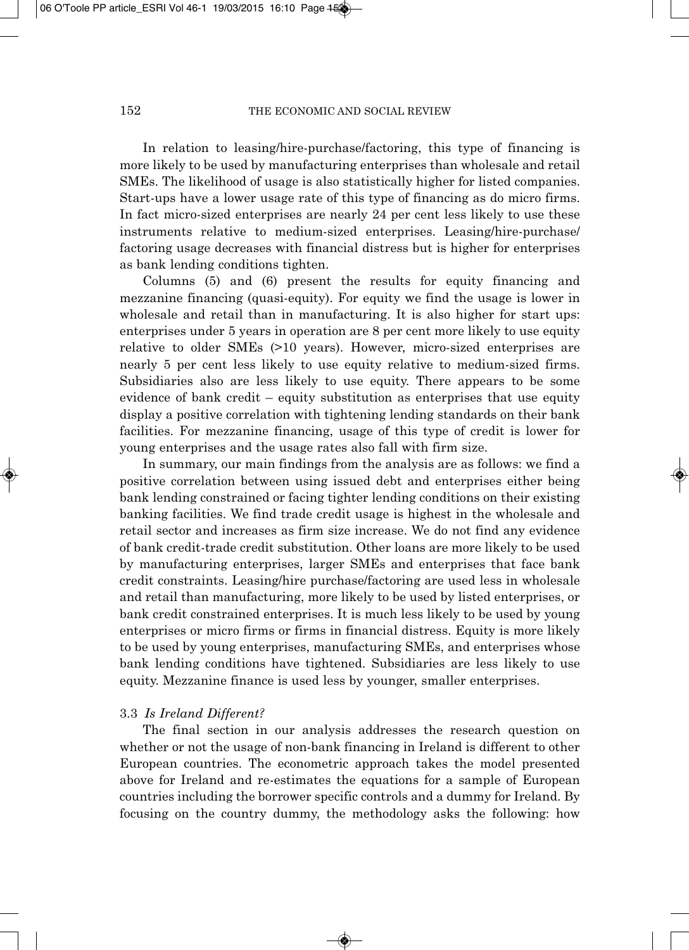In relation to leasing/hire-purchase/factoring, this type of financing is more likely to be used by manufacturing enterprises than wholesale and retail SMEs. The likelihood of usage is also statistically higher for listed companies. Start-ups have a lower usage rate of this type of financing as do micro firms. In fact micro-sized enterprises are nearly 24 per cent less likely to use these instruments relative to medium-sized enterprises. Leasing/hire-purchase/ factoring usage decreases with financial distress but is higher for enterprises as bank lending conditions tighten.

Columns (5) and (6) present the results for equity financing and mezzanine financing (quasi-equity). For equity we find the usage is lower in wholesale and retail than in manufacturing. It is also higher for start ups: enterprises under 5 years in operation are 8 per cent more likely to use equity relative to older SMEs (>10 years). However, micro-sized enterprises are nearly 5 per cent less likely to use equity relative to medium-sized firms. Subsidiaries also are less likely to use equity. There appears to be some evidence of bank credit – equity substitution as enterprises that use equity display a positive correlation with tightening lending standards on their bank facilities. For mezzanine financing, usage of this type of credit is lower for young enterprises and the usage rates also fall with firm size.

In summary, our main findings from the analysis are as follows: we find a positive correlation between using issued debt and enterprises either being bank lending constrained or facing tighter lending conditions on their existing banking facilities. We find trade credit usage is highest in the wholesale and retail sector and increases as firm size increase. We do not find any evidence of bank credit-trade credit substitution. Other loans are more likely to be used by manufacturing enterprises, larger SMEs and enterprises that face bank credit constraints. Leasing/hire purchase/factoring are used less in wholesale and retail than manufacturing, more likely to be used by listed enterprises, or bank credit constrained enterprises. It is much less likely to be used by young enterprises or micro firms or firms in financial distress. Equity is more likely to be used by young enterprises, manufacturing SMEs, and enterprises whose bank lending conditions have tightened. Subsidiaries are less likely to use equity. Mezzanine finance is used less by younger, smaller enterprises.

# 3.3 *Is Ireland Different?*

The final section in our analysis addresses the research question on whether or not the usage of non-bank financing in Ireland is different to other European countries. The econometric approach takes the model presented above for Ireland and re-estimates the equations for a sample of European countries including the borrower specific controls and a dummy for Ireland. By focusing on the country dummy, the methodology asks the following: how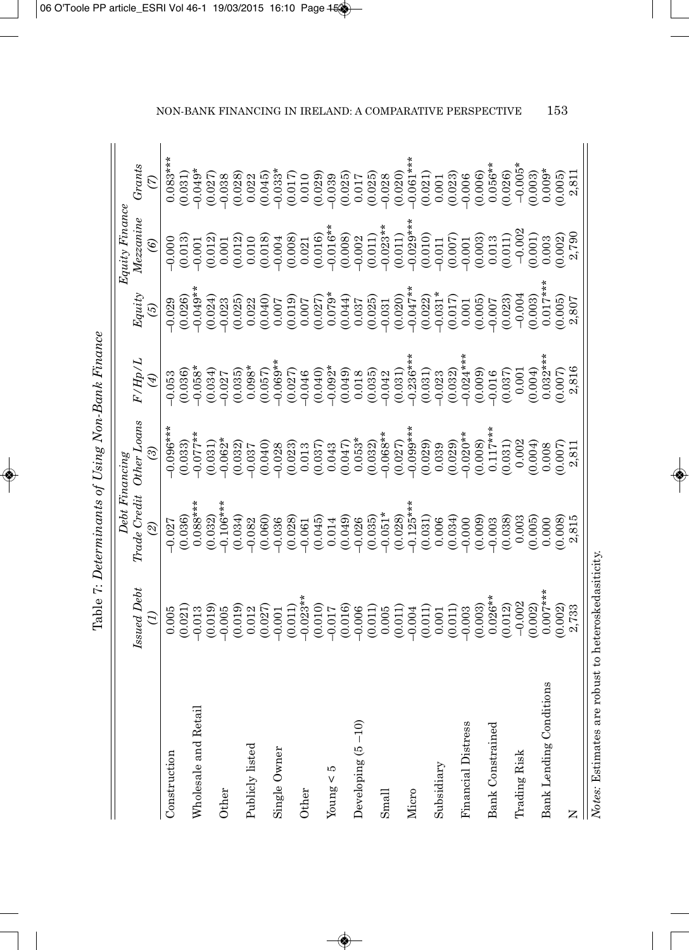| ר היא רא היה ה<br>i<br>í                                       |
|----------------------------------------------------------------|
| $\frac{1}{3}$<br>ľ<br>į<br>Ĕ<br>;<br>l                         |
| <br> <br> <br> <br> <br>ļ<br>J<br>i                            |
| $\tilde{\circ}$                                                |
| ヘキタブ クーラン                                                      |
| J<br>$\mathfrak{c}$<br>Ì<br>T <sub>c</sub> h <sub>1</sub><br>3 |

|                                                     |             | Debt Financing |             |             |                      | $Equity \, Finance$ |             |
|-----------------------------------------------------|-------------|----------------|-------------|-------------|----------------------|---------------------|-------------|
|                                                     | Issued Debt | Trade Credit   | Other Loans | F/Hp/L      | Equity               | Mezzanine           | Grants      |
|                                                     |             | $\odot$        | 3           | $\bigcirc$  | $\widetilde{\omega}$ | $\widehat{e}$       | E           |
| Construction                                        | 0.005       | $-0.027$       | $-0.096***$ | $-0.053$    | $-0.029$             | $-0.000$            | $0.083***$  |
|                                                     | (0.021)     | (0.036)        | (0.033)     | (0.036)     | (0.026)              | (0.013)             | (0.031)     |
| Wholesale and Retail                                | $-0.013$    | $0.088***$     | $-0.077**$  | $-0.058*$   | $-0.049**$           | $-0.001$            | $-0.049*$   |
|                                                     | (0.019)     | (0.032)        | (0.031)     | (0.034)     | (0.024)              | (0.012)             | (0.027)     |
| Other                                               | $-0.005$    | $-0.106***$    | $-0.062*$   | $-0.027$    | $-0.023$             | 0.001               | $-0.038$    |
|                                                     | (0.019)     | (0.034)        | (0.032)     | (0.035)     | (0.025)              | (0.012)             | (0.028)     |
| Publicly listed                                     | 0.012       | $-0.082$       | $-0.037$    | $0.098*$    | 0.022                | 0.010               | 0.022       |
|                                                     | (0.027)     | (0.060)        | (0.040)     | (0.057)     | (0.040)              | (0.018)             | (0.045)     |
| Single Owner                                        | $-0.001$    | $-0.036$       | $-0.028$    | $-0.069**$  | 0.007                | $-0.004$            | $-0.033*$   |
|                                                     | (0.011)     | (0.028)        | (0.023)     | (0.027)     | (0.019)              | (0.008)             | (0.017)     |
| Other                                               | $-0.023**$  | $-0.061$       | 0.013       | $-0.046$    | 0.007                | 0.021               | 0.010       |
|                                                     | (0.010)     | (0.045)        | (0.037)     | (0.040)     | (0.027)              | (0.016)             | (0.029)     |
| ГO<br>Young $<$                                     | $-0.017$    | 0.014          | 0.043       | $-0.092*$   | $0.079*$             | $-0.016**$          | $-0.039$    |
|                                                     | (0.016)     | (0.049)        | (0.047)     | (0.049)     | (0.044)              | (0.008)             | (0.025)     |
| Developing (5-10)                                   | $-0.006$    | $-0.026$       | $0.053*$    | 0.018       | 0.037                | $-0.002$            | 0.017       |
|                                                     | (0.011)     | (0.035)        | (0.032)     | (0.035)     | (0.025)              | (0.011)             | (0.025)     |
| Small                                               | 0.005       | $-0.051*$      | $-0.068**$  | $-0.042$    | $-0.031$             | $-0.023**$          | $-0.028$    |
|                                                     | (0.011)     | (0.028)        | (0.027)     | (0.031)     | (0.020)              | (0.011)             | (0.020)     |
| Micro                                               | $-0.004$    | $-0.125***$    | $-0.099***$ | $-0.236***$ | $-0.047**$           | $-0.029***$         | $-0.061***$ |
|                                                     | (0.011)     | (0.031)        | (0.029)     | (0.031)     | (0.022)              | (0.010)             | (0.021)     |
| Subsidiary                                          | 0.001       | 0.006          | 0.039       | $-0.023$    | $-0.031*$            | $-0.011$            | $0.001\,$   |
|                                                     | (0.011)     | (0.034)        | (0.029)     | (0.032)     | (0.017)              | (0.007)             | (0.023)     |
| Financial Distress                                  | $-0.003$    | $-0.000$       | $-0.020**$  | $-0.024***$ | 0.001                | $-0.001$            | $-0.006$    |
|                                                     | (0.003)     | (0.009)        | (0.008)     | (0.009)     | (0.005)              | (0.003)             | (0.006)     |
| <b>Bank Constrained</b>                             | $0.026**$   | $-0.003$       | $0.117***$  | $-0.016$    | $-0.007$             | 0.013               | $0.056**$   |
|                                                     | (0.012)     | (0.038)        | (0.031)     | (0.037)     | (0.023)              | (0.011)             | (0.026)     |
| Trading Risk                                        | $-0.002$    | 0.003          | 0.002       | 0.001       | $-0.004$             | $-0.002$            | $-0.005*$   |
|                                                     | (0.002)     | (0.005)        | (0.004)     | (0.004)     | (0.003)              | (0.001)             | (0.003)     |
| tions<br>Bank Lending Condi                         | $0.007***$  | 0.000          | 0.008       | $0.032**$   | $0.017***$           | 0.003               | $0.009*$    |
|                                                     | (0.002)     | (0.008)        | (0.007)     | (0.007)     | (0.005)              | (0.002)             | (0.005)     |
| Z                                                   | 2,733       | 2,815          | 2,811       | 2,816       | 2,807                | 2,790               | 2,811       |
| Notes: Estimates are robust to heteroskedasiticity. |             |                |             |             |                      |                     |             |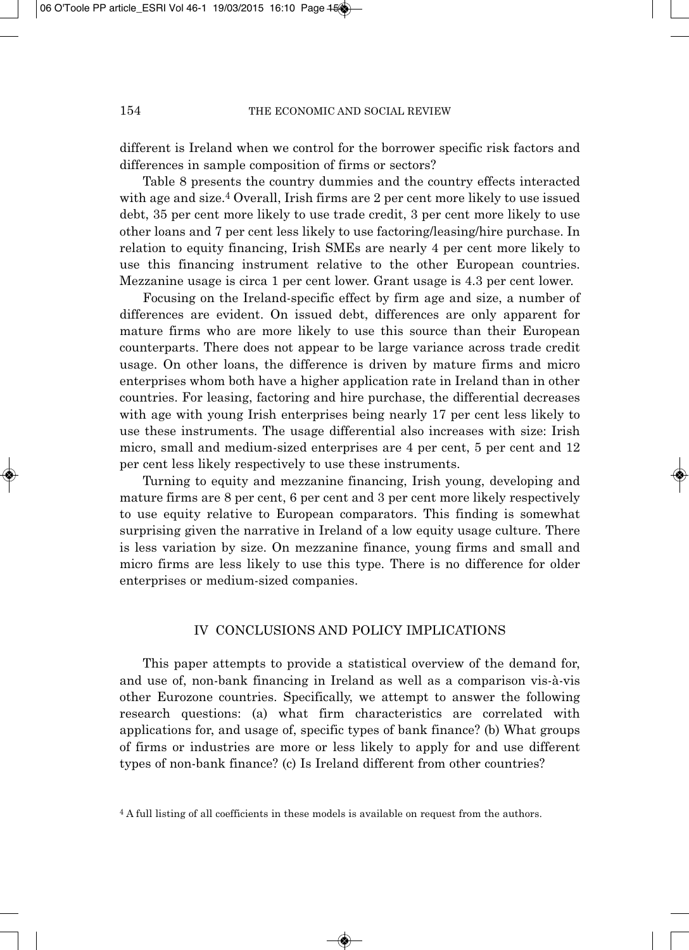different is Ireland when we control for the borrower specific risk factors and differences in sample composition of firms or sectors?

Table 8 presents the country dummies and the country effects interacted with age and size.<sup>4</sup> Overall, Irish firms are 2 per cent more likely to use issued debt, 35 per cent more likely to use trade credit, 3 per cent more likely to use other loans and 7 per cent less likely to use factoring/leasing/hire purchase. In relation to equity financing, Irish SMEs are nearly 4 per cent more likely to use this financing instrument relative to the other European countries. Mezzanine usage is circa 1 per cent lower. Grant usage is 4.3 per cent lower.

Focusing on the Ireland-specific effect by firm age and size, a number of differences are evident. On issued debt, differences are only apparent for mature firms who are more likely to use this source than their European counterparts. There does not appear to be large variance across trade credit usage. On other loans, the difference is driven by mature firms and micro enterprises whom both have a higher application rate in Ireland than in other countries. For leasing, factoring and hire purchase, the differential decreases with age with young Irish enterprises being nearly 17 per cent less likely to use these instruments. The usage differential also increases with size: Irish micro, small and medium-sized enterprises are 4 per cent, 5 per cent and 12 per cent less likely respectively to use these instruments.

Turning to equity and mezzanine financing, Irish young, developing and mature firms are 8 per cent, 6 per cent and 3 per cent more likely respectively to use equity relative to European comparators. This finding is somewhat surprising given the narrative in Ireland of a low equity usage culture. There is less variation by size. On mezzanine finance, young firms and small and micro firms are less likely to use this type. There is no difference for older enterprises or medium-sized companies.

# IV CONCLUSIONS AND POLICY IMPLICATIONS

This paper attempts to provide a statistical overview of the demand for, and use of, non-bank financing in Ireland as well as a comparison vis-à-vis other Eurozone countries. Specifically, we attempt to answer the following research questions: (a) what firm characteristics are correlated with applications for, and usage of, specific types of bank finance? (b) What groups of firms or industries are more or less likely to apply for and use different types of non-bank finance? (c) Is Ireland different from other countries?

<sup>4</sup> A full listing of all coefficients in these models is available on request from the authors.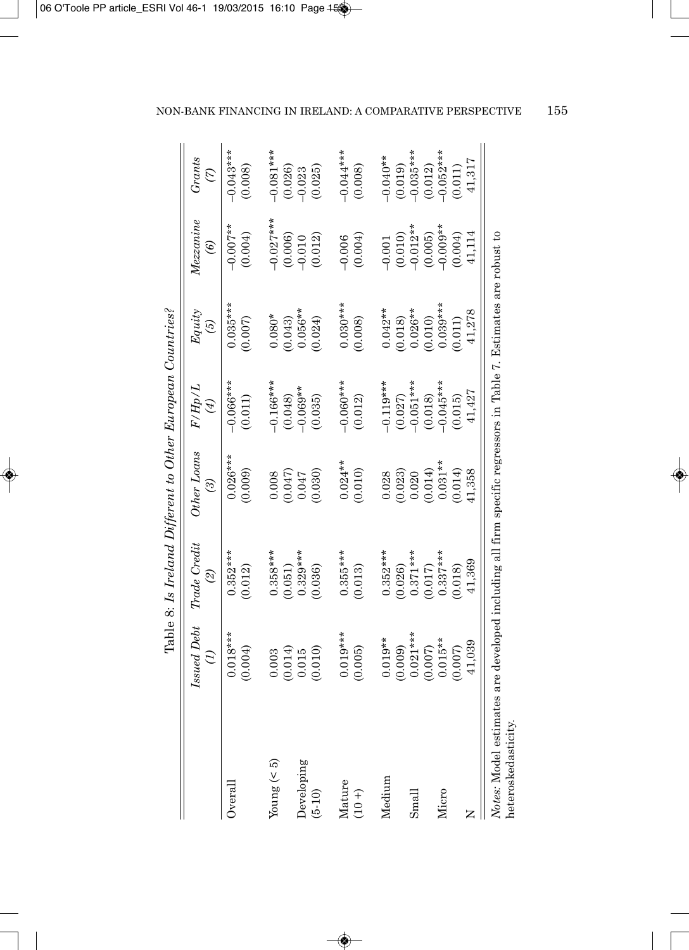|                                                                                                                                        |                               | Table 8: Is Ireland Different to Other European Countries? |                                      |                                     |                                 |                                  |                                |
|----------------------------------------------------------------------------------------------------------------------------------------|-------------------------------|------------------------------------------------------------|--------------------------------------|-------------------------------------|---------------------------------|----------------------------------|--------------------------------|
|                                                                                                                                        | <b>Issued Debt</b><br>E       | Trade Credit<br>$\mathcal{Q}$                              | <b>Other Loans</b><br>$\mathfrak{D}$ | F/Hp/L<br>$\bigcirc$                | Equity<br>$\mathcal{G}$         | Mezzanine<br>$\widehat{e}$       | Grants<br>$\mathcal{L}$        |
| Overal                                                                                                                                 | $0.018***$<br>(0.004)         | $0.352***$<br>(0.012)                                      | $0.026***$<br>(0.009)                | $-0.066***$<br>(0.011)              | $0.035***$<br>(0.007)           | $-0.007***$<br>(0.004)           | $-0.043***$<br>(0.008)         |
| Young $(< 5)$                                                                                                                          | 0.003                         | $0.358***$                                                 | 0.008                                | $-0.166***$                         | $0.080*$                        | $-0.027***$                      | $-0.081***$                    |
| Developing<br>$(5-10)$                                                                                                                 | $(0.014)$<br>0.015<br>(0.010) | $0.329***$<br>(0.036)<br>(0.051)                           | (0.030)<br>(0.047)<br>0.047          | $-0.069**$<br>(0.048)<br>(0.035)    | $0.056**$<br>(0.024)<br>(0.043) | (0.006)<br>(0.012)<br>$-0.010$   | (0.025)<br>(0.026)<br>$-0.023$ |
| Mature<br>$(10 + )$                                                                                                                    | $0.019***$<br>(0.005)         | $0.355***$<br>(0.013)                                      | $0.024***$<br>(0.010)                | $-0.060***$<br>(0.012)              | $0.030***$<br>(0.008)           | (0.004)<br>$-0.006$              | $-0.044***$<br>(0.008)         |
| Medium                                                                                                                                 | $0.019**$<br>(0.009)          | $0.352***$<br>(0.026)                                      | (0.023)<br>0.028                     | $-0.119***$<br>(0.027)<br>-0.051*** | $0.042**$<br>(0.018)            | $-0.001$                         | $-0.040**$<br>(0.019)          |
| S <sub>mal</sub>                                                                                                                       | $0.021***$<br>(0.007)         | $0.371***$<br>(0.017)                                      | (0.014)<br>0.020                     | (0.018)                             | $0.026**$<br>(0.010)            | $(0.010)$<br>-0.012**<br>(0.005) | $-0.035***$<br>(0.012)         |
| Micro                                                                                                                                  | $0.015**$<br>(0.007)          | $0.337***$<br>(0.018)                                      | $0.031**$<br>(0.014)                 | $-0.045***$<br>(0.015)              | $0.039***$<br>(0.011)           | $-0.009**$<br>(0.004)            | $-0.052***$<br>(0.011)         |
|                                                                                                                                        | 41,039                        | 41,369                                                     | 41,358                               | 41,427                              | 41,278                          | 41,114                           | 41,317                         |
| Notes: Model estimates are developed including all firm specific regressors in Table 7. Estimates are robust to<br>heteroskedasticity. |                               |                                                            |                                      |                                     |                                 |                                  |                                |

Table 8: Is Ireland Different to Other European Countries?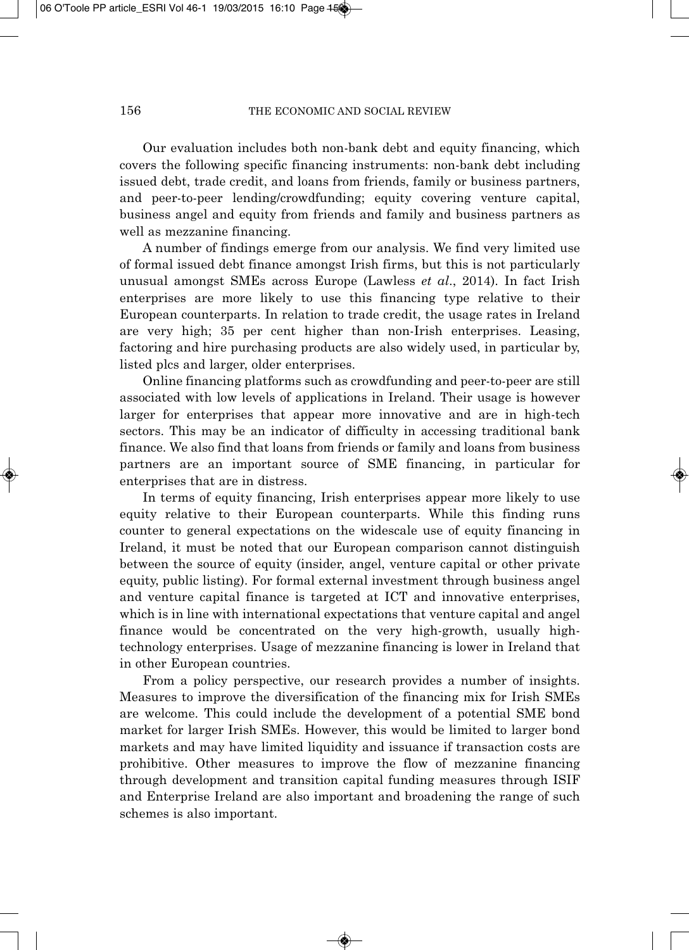Our evaluation includes both non-bank debt and equity financing, which covers the following specific financing instruments: non-bank debt including issued debt, trade credit, and loans from friends, family or business partners, and peer-to-peer lending/crowdfunding; equity covering venture capital, business angel and equity from friends and family and business partners as well as mezzanine financing.

A number of findings emerge from our analysis. We find very limited use of formal issued debt finance amongst Irish firms, but this is not particularly unusual amongst SMEs across Europe (Lawless *et al*., 2014). In fact Irish enterprises are more likely to use this financing type relative to their European counterparts. In relation to trade credit, the usage rates in Ireland are very high; 35 per cent higher than non-Irish enterprises. Leasing, factoring and hire purchasing products are also widely used, in particular by, listed plcs and larger, older enterprises.

Online financing platforms such as crowdfunding and peer-to-peer are still associated with low levels of applications in Ireland. Their usage is however larger for enterprises that appear more innovative and are in high-tech sectors. This may be an indicator of difficulty in accessing traditional bank finance. We also find that loans from friends or family and loans from business partners are an important source of SME financing, in particular for enterprises that are in distress.

In terms of equity financing, Irish enterprises appear more likely to use equity relative to their European counterparts. While this finding runs counter to general expectations on the widescale use of equity financing in Ireland, it must be noted that our European comparison cannot distinguish between the source of equity (insider, angel, venture capital or other private equity, public listing). For formal external investment through business angel and venture capital finance is targeted at ICT and innovative enterprises, which is in line with international expectations that venture capital and angel finance would be concentrated on the very high-growth, usually hightechnology enterprises. Usage of mezzanine financing is lower in Ireland that in other European countries.

From a policy perspective, our research provides a number of insights. Measures to improve the diversification of the financing mix for Irish SMEs are welcome. This could include the development of a potential SME bond market for larger Irish SMEs. However, this would be limited to larger bond markets and may have limited liquidity and issuance if transaction costs are prohibitive. Other measures to improve the flow of mezzanine financing through development and transition capital funding measures through ISIF and Enterprise Ireland are also important and broadening the range of such schemes is also important.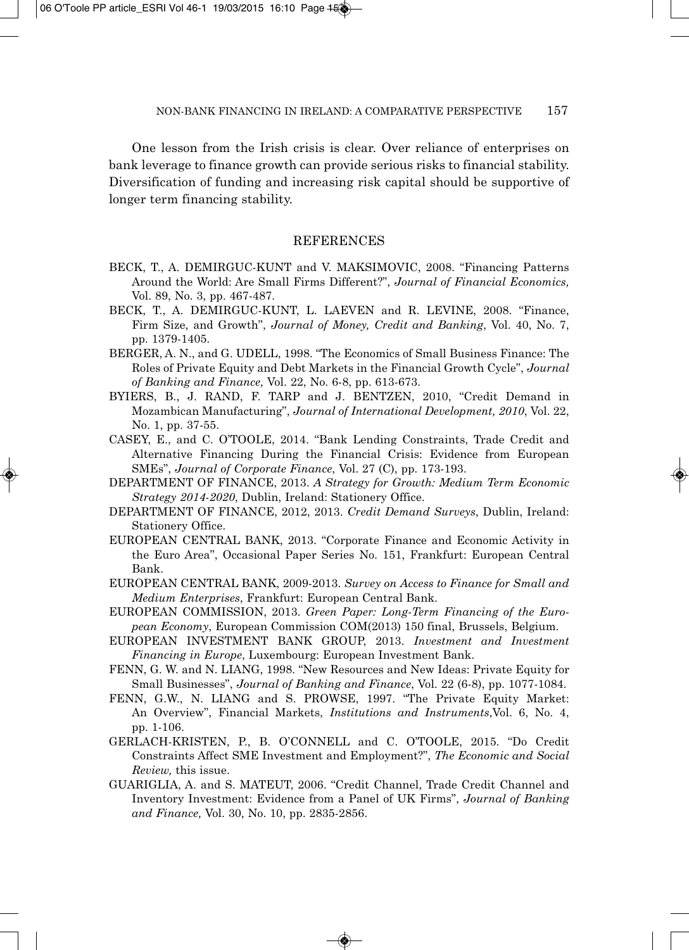One lesson from the Irish crisis is clear. Over reliance of enterprises on bank leverage to finance growth can provide serious risks to financial stability. Diversification of funding and increasing risk capital should be supportive of longer term financing stability.

#### **REFERENCES**

- BECK, T., A. DEMIRGUC-KUNT and V. MAKSIMOVIC, 2008. "Financing Patterns Around the World: Are Small Firms Different?", *Journal of Financial Economics,* Vol. 89, No. 3, pp. 467-487.
- BECK, T., A. DEMIRGUC-KUNT, L. LAEVEN and R. LEVINE, 2008. "Finance, Firm Size, and Growth", *Journal of Money, Credit and Banking*, Vol. 40, No. 7, pp. 1379-1405.
- BERGER, A. N., and G. UDELL, 1998. "The Economics of Small Business Finance: The Roles of Private Equity and Debt Markets in the Financial Growth Cycle", *Journal of Banking and Finance,* Vol. 22, No. 6-8, pp. 613-673.
- BYIERS, B., J. RAND, F. TARP and J. BENTZEN, 2010, "Credit Demand in Mozambican Manufacturing", *Journal of International Development, 2010*, Vol. 22, No. 1, pp. 37-55.
- CASEY, E., and C. O'TOOLE, 2014. "Bank Lending Constraints, Trade Credit and Alternative Financing During the Financial Crisis: Evidence from European SMEs", *Journal of Corporate Finance*, Vol. 27 (C), pp. 173-193.
- DEPARTMENT OF FINANCE, 2013. *A Strategy for Growth: Medium Term Economic Strategy 2014-2020*, Dublin, Ireland: Stationery Office.
- DEPARTMENT OF FINANCE, 2012, 2013. *Credit Demand Surveys*, Dublin, Ireland: Stationery Office.
- EUROPEAN CENTRAL BANK, 2013. "Corporate Finance and Economic Activity in the Euro Area", Occasional Paper Series No. 151, Frankfurt: European Central Bank.
- EUROPEAN CENTRAL BANK, 2009-2013. *Survey on Access to Finance for Small and Medium Enterprises*, Frankfurt: European Central Bank.
- EUROPEAN COMMISSION, 2013. *Green Paper: Long-Term Financing of the Euro pean Economy*, European Commission COM(2013) 150 final, Brussels, Belgium.
- EUROPEAN INVESTMENT BANK GROUP, 2013. *Investment and Investment Financing in Europe*, Luxembourg: European Investment Bank.
- FENN, G. W. and N. LIANG, 1998. "New Resources and New Ideas: Private Equity for Small Businesses", *Journal of Banking and Finance*, Vol. 22 (6-8), pp. 1077-1084.
- FENN, G.W., N. LIANG and S. PROWSE, 1997. "The Private Equity Market: An Overview", Financial Markets, *Institutions and Instruments*,Vol. 6, No. 4, pp. 1-106.
- GERLACH-KRISTEN, P., B. O'CONNELL and C. O'TOOLE, 2015. "Do Credit Constraints Affect SME Investment and Employment?", *The Economic and Social Review,* this issue.
- GUARIGLIA, A. and S. MATEUT, 2006. "Credit Channel, Trade Credit Channel and Inventory Investment: Evidence from a Panel of UK Firms", *Journal of Banking and Finance,* Vol. 30, No. 10, pp. 2835-2856.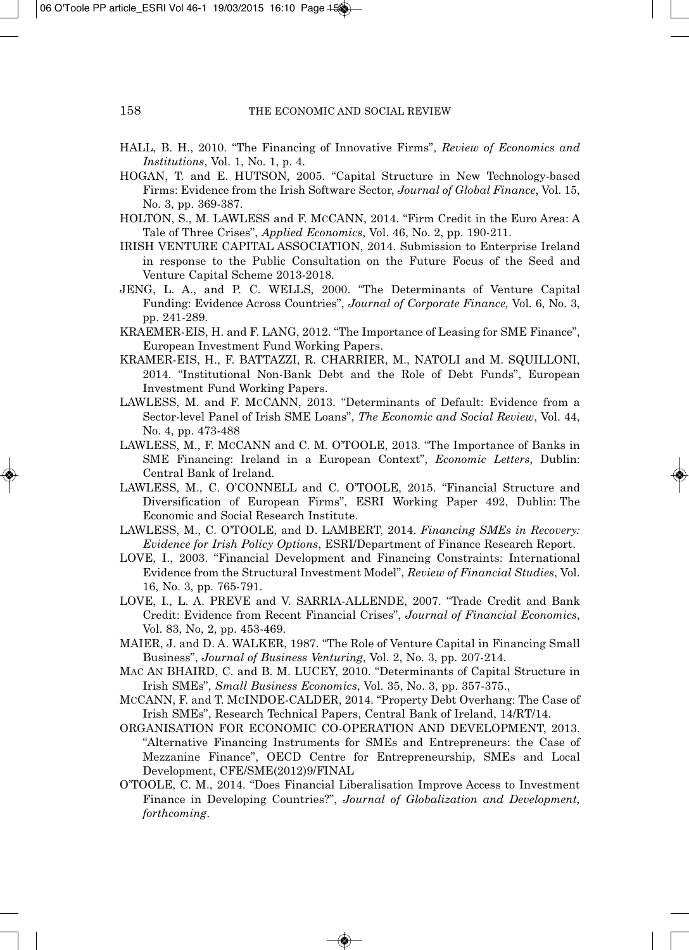- HALL, B. H., 2010. "The Financing of Innovative Firms", *Review of Economics and Institutions*, Vol. 1, No. 1, p. 4.
- HOGAN, T. and E. HUTSON, 2005. "Capital Structure in New Technology-based Firms: Evidence from the Irish Software Sector, *Journal of Global Finance*, Vol. 15, No. 3, pp. 369-387.
- HOLTON, S., M. LAWLESS and F. MCCANN, 2014. "Firm Credit in the Euro Area: A Tale of Three Crises", *Applied Economics*, Vol. 46, No. 2, pp. 190-211.
- IRISH VENTURE CAPITAL ASSOCIATION, 2014. Submission to Enterprise Ireland in response to the Public Consultation on the Future Focus of the Seed and Venture Capital Scheme 2013-2018.
- JENG, L. A., and P. C. WELLS, 2000. "The Determinants of Venture Capital Funding: Evidence Across Countries", *Journal of Corporate Finance,* Vol. 6, No. 3, pp. 241-289.
- KRAEMER-EIS, H. and F. LANG, 2012. "The Importance of Leasing for SME Finance", European Investment Fund Working Papers.
- KRAMER-EIS, H., F. BATTAZZI, R. CHARRIER, M., NATOLI and M. SQUILLONI, 2014. "Institutional Non-Bank Debt and the Role of Debt Funds", European Investment Fund Working Papers.
- LAWLESS, M. and F. MCCANN, 2013. "Determinants of Default: Evidence from a Sector-level Panel of Irish SME Loans", *The Economic and Social Review*, Vol. 44, No. 4, pp. 473-488
- LAWLESS, M., F. MCCANN and C. M. O'TOOLE, 2013. "The Importance of Banks in SME Financing: Ireland in a European Context", *Economic Letters*, Dublin: Central Bank of Ireland.
- LAWLESS, M., C. O'CONNELL and C. O'TOOLE, 2015. "Financial Structure and Diversification of European Firms", ESRI Working Paper 492, Dublin: The Economic and Social Research Institute.
- LAWLESS, M., C. O'TOOLE, and D. LAMBERT, 2014. *Financing SMEs in Recovery: Evidence for Irish Policy Options*, ESRI/Department of Finance Research Report.
- LOVE, I., 2003. "Financial Development and Financing Constraints: International Evidence from the Structural Investment Model", *Review of Financial Studies*, Vol. 16, No. 3, pp. 765-791.
- LOVE, I., L. A. PREVE and V. SARRIA-ALLENDE, 2007. "Trade Credit and Bank Credit: Evidence from Recent Financial Crises", *Journal of Financial Economics*, Vol. 83, No, 2, pp. 453-469.
- MAIER, J. and D. A. WALKER, 1987. "The Role of Venture Capital in Financing Small Business", *Journal of Business Venturing*, Vol. 2, No. 3, pp. 207-214.
- MAC AN BHAIRD, C. and B. M. LUCEY, 2010. "Determinants of Capital Structure in Irish SMEs", *Small Business Economics*, Vol. 35, No. 3, pp. 357-375.,
- MCCANN, F. and T. MCINDOE-CALDER, 2014. "Property Debt Overhang: The Case of Irish SMEs", Research Technical Papers, Central Bank of Ireland, 14/RT/14.
- ORGANISATION FOR ECONOMIC CO-OPERATION AND DEVELOPMENT, 2013. "Alternative Financing Instruments for SMEs and Entrepreneurs: the Case of Mezzanine Finance", OECD Centre for Entrepreneurship, SMEs and Local Development, CFE/SME(2012)9/FINAL
- O'TOOLE, C. M., 2014. "Does Financial Liberalisation Improve Access to Investment Finance in Developing Countries?", *Journal of Globalization and Development, forthcoming*.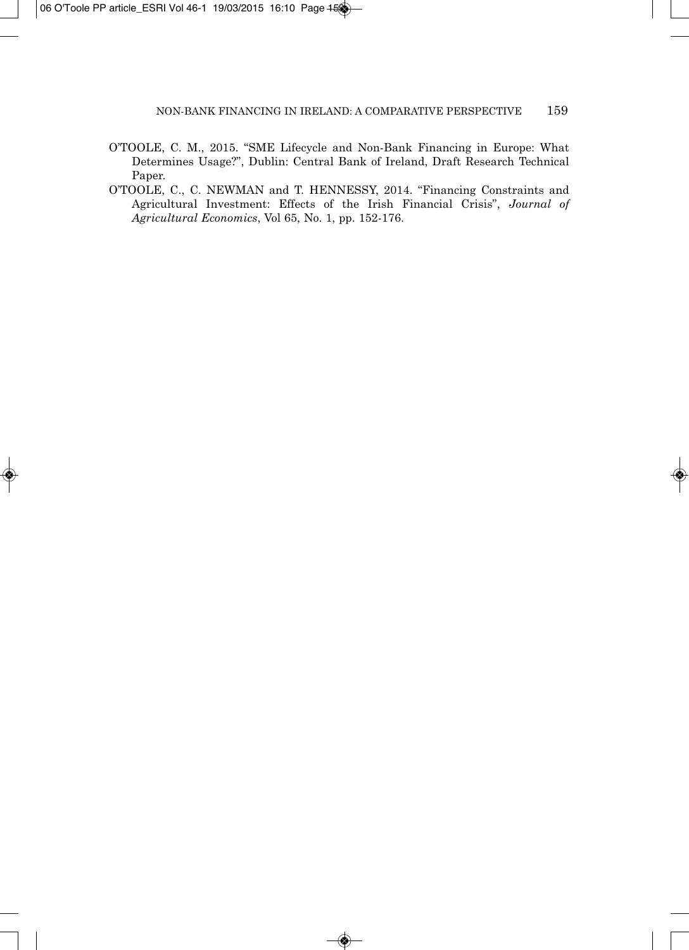- O'TOOLE, C. M., 2015. "SME Lifecycle and Non-Bank Financing in Europe: What Determines Usage?", Dublin: Central Bank of Ireland, Draft Research Technical Paper.
- O'TOOLE, C., C. NEWMAN and T. HENNESSY, 2014. "Financing Constraints and Agricultural Investment: Effects of the Irish Financial Crisis", *Journal of Agricultural Economics*, Vol 65, No. 1, pp. 152-176.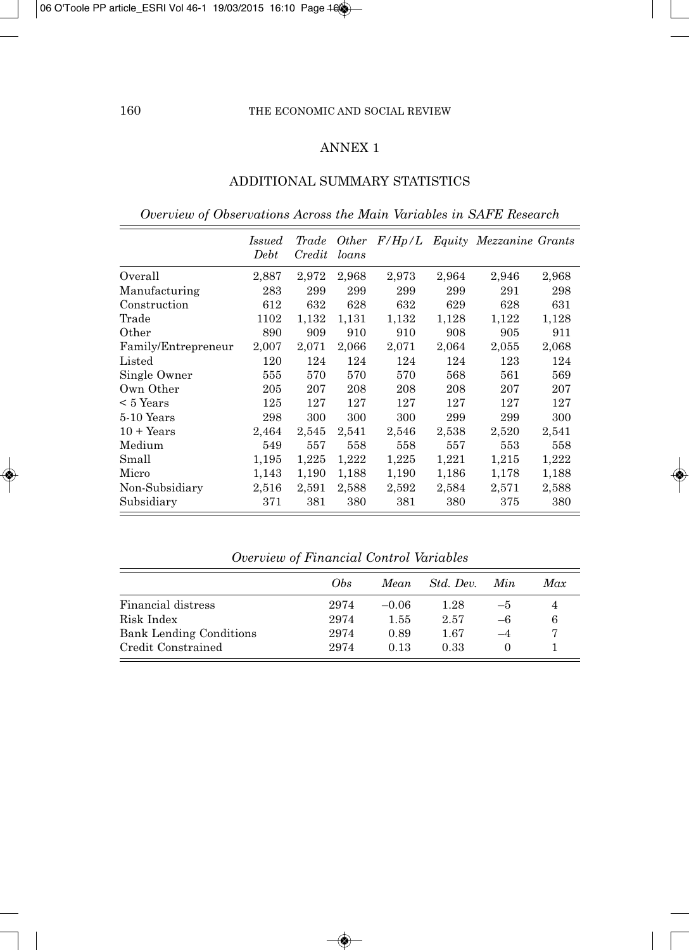# ANNEX 1

# ADDITIONAL SUMMARY STATISTICS

*Overview of Observations Across the Main Variables in SAFE Research*

|                     | <i>Issued</i> | Trade  | <i>Other</i> | F/Hp/L |       | Equity Mezzanine Grants |       |
|---------------------|---------------|--------|--------------|--------|-------|-------------------------|-------|
|                     | Debt          | Credit | loans        |        |       |                         |       |
| Overall             | 2,887         | 2,972  | 2,968        | 2,973  | 2,964 | 2,946                   | 2,968 |
| Manufacturing       | 283           | 299    | 299          | 299    | 299   | 291                     | 298   |
| Construction        | 612           | 632    | 628          | 632    | 629   | 628                     | 631   |
| Trade               | 1102          | 1,132  | 1,131        | 1,132  | 1,128 | 1,122                   | 1,128 |
| Other               | 890           | 909    | 910          | 910    | 908   | 905                     | 911   |
| Family/Entrepreneur | 2,007         | 2,071  | 2,066        | 2,071  | 2,064 | 2,055                   | 2,068 |
| Listed              | 120           | 124    | 124          | 124    | 124   | 123                     | 124   |
| Single Owner        | 555           | 570    | 570          | 570    | 568   | 561                     | 569   |
| Own Other           | 205           | 207    | 208          | 208    | 208   | 207                     | 207   |
| $< 5$ Years         | 125           | 127    | 127          | 127    | 127   | 127                     | 127   |
| 5-10 Years          | 298           | 300    | 300          | 300    | 299   | 299                     | 300   |
| $10 + Years$        | 2,464         | 2,545  | 2,541        | 2,546  | 2,538 | 2,520                   | 2,541 |
| Medium              | 549           | 557    | 558          | 558    | 557   | 553                     | 558   |
| Small               | 1,195         | 1,225  | 1,222        | 1,225  | 1,221 | 1,215                   | 1,222 |
| Micro               | 1,143         | 1,190  | 1,188        | 1,190  | 1,186 | 1,178                   | 1,188 |
| Non-Subsidiary      | 2,516         | 2,591  | 2,588        | 2,592  | 2,584 | 2,571                   | 2,588 |
| Subsidiary          | 371           | 381    | 380          | 381    | 380   | 375                     | 380   |

|                                | Obs. | Mean    | Std. Dev. | Min. | Max |
|--------------------------------|------|---------|-----------|------|-----|
| Financial distress             | 2974 | $-0.06$ | 1.28      | $-5$ | 4   |
| Risk Index                     | 2974 | 1.55    | 2.57      | -6   |     |
| <b>Bank Lending Conditions</b> | 2974 | 0.89    | 1.67      |      |     |
| Credit Constrained             | 2974 | 0.13    | 0.33      |      |     |